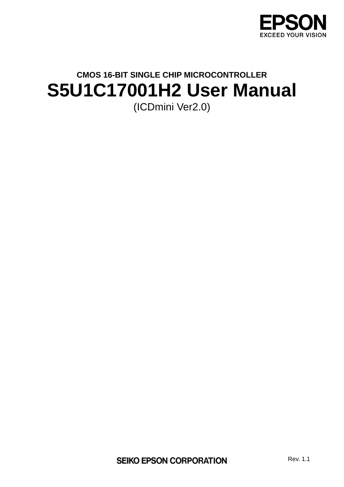

# **CMOS 16-BIT SINGLE CHIP MICROCONTROLLER S5U1C17001H2 User Manual**  (ICDmini Ver2.0)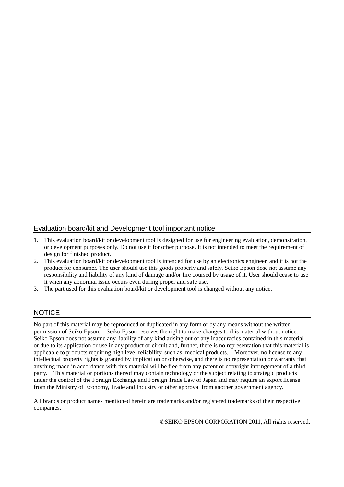### Evaluation board/kit and Development tool important notice

- 1. This evaluation board/kit or development tool is designed for use for engineering evaluation, demonstration, or development purposes only. Do not use it for other purpose. It is not intended to meet the requirement of design for finished product.
- 2. This evaluation board/kit or development tool is intended for use by an electronics engineer, and it is not the product for consumer. The user should use this goods properly and safely. Seiko Epson dose not assume any responsibility and liability of any kind of damage and/or fire coursed by usage of it. User should cease to use it when any abnormal issue occurs even during proper and safe use.
- 3. The part used for this evaluation board/kit or development tool is changed without any notice.

### **NOTICE**

No part of this material may be reproduced or duplicated in any form or by any means without the written permission of Seiko Epson. Seiko Epson reserves the right to make changes to this material without notice. Seiko Epson does not assume any liability of any kind arising out of any inaccuracies contained in this material or due to its application or use in any product or circuit and, further, there is no representation that this material is applicable to products requiring high level reliability, such as, medical products. Moreover, no license to any intellectual property rights is granted by implication or otherwise, and there is no representation or warranty that anything made in accordance with this material will be free from any patent or copyright infringement of a third party. This material or portions thereof may contain technology or the subject relating to strategic products under the control of the Foreign Exchange and Foreign Trade Law of Japan and may require an export license from the Ministry of Economy, Trade and Industry or other approval from another government agency.

All brands or product names mentioned herein are trademarks and/or registered trademarks of their respective companies.

©SEIKO EPSON CORPORATION 2011, All rights reserved.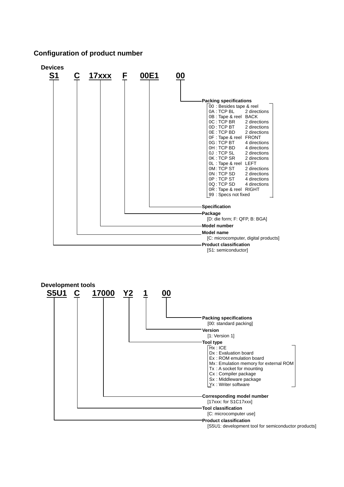### **Configuration of product number**



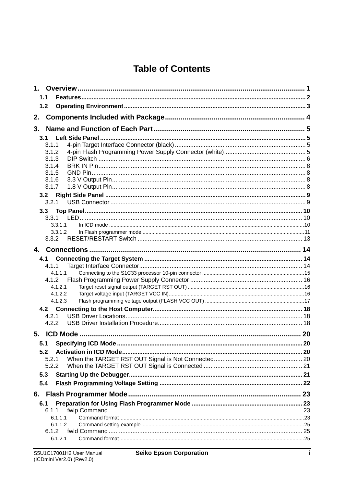# **Table of Contents**

| 1.  |                    |  |
|-----|--------------------|--|
| 1.1 |                    |  |
| 1.2 |                    |  |
| 2.  |                    |  |
|     |                    |  |
| 3.  |                    |  |
| 3.1 |                    |  |
|     | 3.1.1              |  |
|     | 3.1.2<br>3.1.3     |  |
|     | 3.1.4              |  |
|     | 3.1.5              |  |
|     | 3.1.6              |  |
|     | 3.1.7              |  |
|     |                    |  |
|     | 3.2.1              |  |
|     | 3.3                |  |
|     |                    |  |
|     | 3.3.1.1            |  |
|     | 3.3.1.2            |  |
|     | 3.3.2              |  |
|     |                    |  |
|     |                    |  |
|     | 4.1.1              |  |
|     | 4.1.1.1            |  |
|     | 4.1.2              |  |
|     | 4.1.2.1            |  |
|     | 4.1.2.2<br>4.1.2.3 |  |
|     |                    |  |
|     | 4.2.1              |  |
|     | 4.2.2              |  |
|     |                    |  |
|     |                    |  |
|     |                    |  |
| 5.2 |                    |  |
|     | 5.2.1              |  |
|     | 5.2.2              |  |
| 5.3 |                    |  |
| 5.4 |                    |  |
|     |                    |  |
| 6.1 |                    |  |
|     | 6.1.1              |  |
|     | 6.1.1.1            |  |
|     | 6.1.1.2            |  |
|     | 6.1.2              |  |
|     | 6.1.2.1            |  |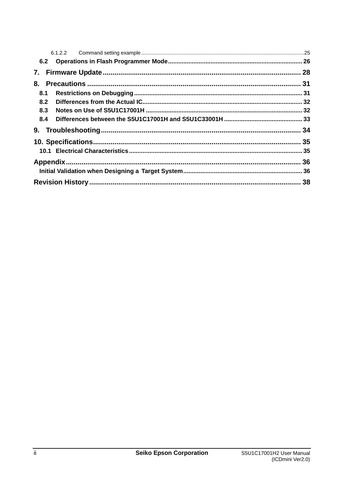| 6.2 |  |  |
|-----|--|--|
| 7.  |  |  |
| 8.  |  |  |
| 8.1 |  |  |
| 8.2 |  |  |
| 8.3 |  |  |
| 8.4 |  |  |
| 9.  |  |  |
|     |  |  |
|     |  |  |
|     |  |  |
|     |  |  |
|     |  |  |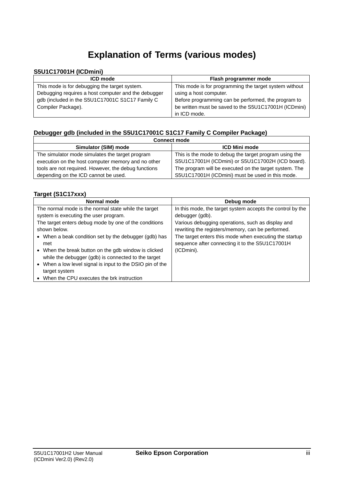# **Explanation of Terms (various modes)**

### **S5U1C17001H (ICDmini)**

| <b>ICD mode</b>                                     | Flash programmer mode                                  |
|-----------------------------------------------------|--------------------------------------------------------|
| This mode is for debugging the target system.       | This mode is for programming the target system without |
| Debugging requires a host computer and the debugger | using a host computer.                                 |
| gdb (included in the S5U1C17001C S1C17 Family C     | Before programming can be performed, the program to    |
| Compiler Package).                                  | be written must be saved to the S5U1C17001H (ICDmini)  |
|                                                     | in ICD mode.                                           |

### **Debugger gdb (included in the S5U1C17001C S1C17 Family C Compiler Package)**

| <b>Connect mode</b>                                  |                                                        |  |
|------------------------------------------------------|--------------------------------------------------------|--|
| Simulator (SIM) mode                                 | <b>ICD Mini mode</b>                                   |  |
| The simulator mode simulates the target program      | This is the mode to debug the target program using the |  |
| execution on the host computer memory and no other   | S5U1C17001H (ICDmini) or S5U1C17002H (ICD board).      |  |
| tools are not required. However, the debug functions | The program will be executed on the target system. The |  |
| depending on the ICD cannot be used.                 | S5U1C17001H (ICDmini) must be used in this mode.       |  |

### **Target (S1C17xxx)**

| Normal mode                                               | Debug mode                                                 |
|-----------------------------------------------------------|------------------------------------------------------------|
| The normal mode is the normal state while the target      | In this mode, the target system accepts the control by the |
| system is executing the user program.                     | debugger (gdb).                                            |
| The target enters debug mode by one of the conditions     | Various debugging operations, such as display and          |
| shown below.                                              | rewriting the registers/memory, can be performed.          |
| • When a beak condition set by the debugger (gdb) has     | The target enters this mode when executing the startup     |
| met                                                       | sequence after connecting it to the S5U1C17001H            |
| • When the break button on the gdb window is clicked      | (ICDmini).                                                 |
| while the debugger (gdb) is connected to the target       |                                                            |
| • When a low level signal is input to the DSIO pin of the |                                                            |
| target system                                             |                                                            |
| When the CPU executes the brk instruction                 |                                                            |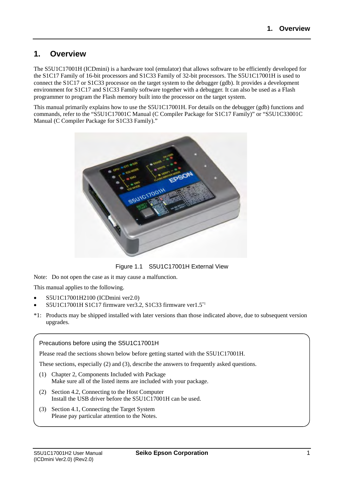### <span id="page-6-0"></span>**1. Overview**

The S5U1C17001H (ICDmini) is a hardware tool (emulator) that allows software to be efficiently developed for the S1C17 Family of 16-bit processors and S1C33 Family of 32-bit processors. The S5U1C17001H is used to connect the S1C17 or S1C33 processor on the target system to the debugger (gdb). It provides a development environment for S1C17 and S1C33 Family software together with a debugger. It can also be used as a Flash programmer to program the Flash memory built into the processor on the target system.

This manual primarily explains how to use the S5U1C17001H. For details on the debugger (gdb) functions and commands, refer to the "S5U1C17001C Manual (C Compiler Package for S1C17 Family)" or "S5U1C33001C Manual (C Compiler Package for S1C33 Family)."



Figure 1.1 S5U1C17001H External View

Note: Do not open the case as it may cause a malfunction.

This manual applies to the following.

- S5U1C17001H2100 (ICDmini ver2.0)
- S5U1C17001H S1C17 firmware ver3.2, S1C33 firmware ver1.5\*1
- \*1: Products may be shipped installed with later versions than those indicated above, due to subsequent version upgrades.

### Precautions before using the S5U1C17001H

Please read the sections shown below before getting started with the S5U1C17001H.

These sections, especially (2) and (3), describe the answers to frequently asked questions.

- (1) Chapter 2, Components Included with Package Make sure all of the listed items are included with your package.
- (2) Section 4.2, Connecting to the Host Computer Install the USB driver before the S5U1C17001H can be used.
- (3) Section 4.1, Connecting the Target System Please pay particular attention to the Notes.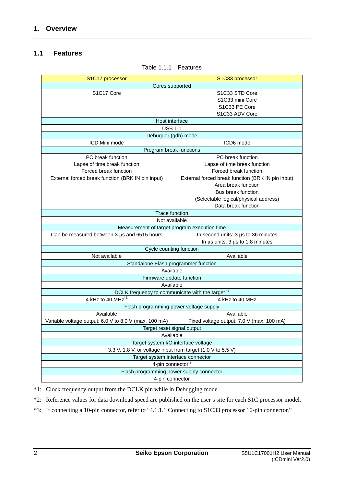### <span id="page-7-0"></span>**1.1 Features**

| S1C17 processor                                                       | S1C33 processor                                   |  |
|-----------------------------------------------------------------------|---------------------------------------------------|--|
| Cores supported                                                       |                                                   |  |
| S1C17 Core                                                            | S1C33 STD Core                                    |  |
|                                                                       | S <sub>1</sub> C <sub>33</sub> mini Core          |  |
|                                                                       | S1C33 PE Core                                     |  |
|                                                                       | S1C33 ADV Core                                    |  |
| Host interface                                                        |                                                   |  |
| <b>USB 1.1</b>                                                        |                                                   |  |
| Debugger (gdb) mode                                                   |                                                   |  |
| ICD Mini mode                                                         | ICD6 mode                                         |  |
| Program break functions                                               |                                                   |  |
| PC break function                                                     | PC break function                                 |  |
| Lapse of time break function                                          | Lapse of time break function                      |  |
| Forced break function                                                 | Forced break function                             |  |
| External forced break function (BRK IN pin input)                     | External forced break function (BRK IN pin input) |  |
|                                                                       | Area break function                               |  |
|                                                                       | Bus break function                                |  |
|                                                                       | (Selectable logical/physical address)             |  |
|                                                                       | Data break function                               |  |
| <b>Trace function</b>                                                 |                                                   |  |
| Not available                                                         |                                                   |  |
| Measurement of target program execution time                          |                                                   |  |
| Can be measured between $3 \mu s$ and 6515 hours                      | In second units: 3 µs to 36 minutes               |  |
|                                                                       |                                                   |  |
| In $\mu$ s units: 3 $\mu$ s to 1.8 minutes<br>Cycle counting function |                                                   |  |
|                                                                       |                                                   |  |
| Not available<br>Available<br>Standalone Flash programmer function    |                                                   |  |
|                                                                       |                                                   |  |
| Available                                                             |                                                   |  |
| Firmware update function                                              |                                                   |  |
| Available                                                             |                                                   |  |
| DCLK frequency to communicate with the target "                       |                                                   |  |
| 4 kHz to 40 MHz <sup>2</sup>                                          | 4 kHz to 40 MHz                                   |  |
| Flash programming power voltage supply                                |                                                   |  |
| Available                                                             | Available                                         |  |
| Variable voltage output: 6.0 V to 8.0 V (max. 100 mA)                 | Fixed voltage output: 7.0 V (max. 100 mA)         |  |
| Target reset signal output                                            |                                                   |  |
| Available                                                             |                                                   |  |
| Target system I/O interface voltage                                   |                                                   |  |
| 3.3 V, 1.8 V, or voltage input from target (1.0 V to 5.5 V)           |                                                   |  |
| Target system interface connector                                     |                                                   |  |
| 4-pin connector <sup>*3</sup>                                         |                                                   |  |
| Flash programming power supply connector                              |                                                   |  |
| 4-pin connector                                                       |                                                   |  |

Table 1.1.1 Features

\*1: Clock frequency output from the DCLK pin while in Debugging mode.

\*2: Reference values for data download speed are published on the user's site for each S1C processor model.

\*3: If connecting a 10-pin connector, refer to "4.1.1.1 Connecting to S1C33 processor 10-pin connector."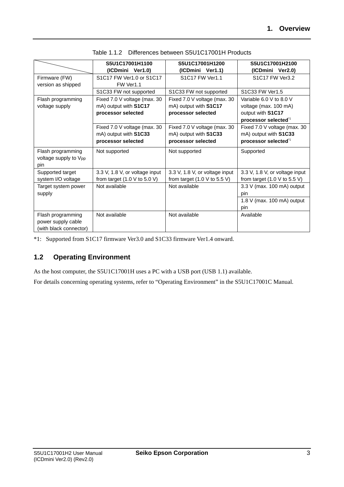|                                   | S5U1C17001H1100                                 | S5U1C17001H1200                                 | S5U1C17001H2100                                 |
|-----------------------------------|-------------------------------------------------|-------------------------------------------------|-------------------------------------------------|
|                                   | (ICDmini Ver1.0)                                | (ICDmini Ver1.1)                                | (ICDmini Ver2.0)                                |
| Firmware (FW)                     | S1C17 FW Ver1.0 or S1C17                        | S1C17 FW Ver1.1                                 | S1C17 FW Ver3.2                                 |
| version as shipped                | FW Ver1.1                                       |                                                 |                                                 |
|                                   | S1C33 FW not supported                          | S1C33 FW not supported                          | S1C33 FW Ver1.5                                 |
| Flash programming                 | Fixed 7.0 V voltage (max. 30                    | Fixed 7.0 V voltage (max. 30                    | Variable 6.0 V to 8.0 V                         |
| voltage supply                    | mA) output with S1C17                           | mA) output with S1C17                           | voltage (max. 100 mA)                           |
|                                   | processor selected                              | processor selected                              | output with S1C17                               |
|                                   |                                                 |                                                 | processor selected <sup>1</sup>                 |
|                                   | Fixed 7.0 V voltage (max. 30                    | Fixed 7.0 V voltage (max. 30                    | Fixed 7.0 V voltage (max. 30                    |
|                                   | mA) output with S1C33                           | mA) output with S1C33                           | mA) output with S1C33                           |
|                                   | processor selected                              | processor selected                              | processor selected <sup>1</sup>                 |
| Flash programming                 | Not supported                                   | Not supported                                   | Supported                                       |
| voltage supply to V <sub>pp</sub> |                                                 |                                                 |                                                 |
| pin                               |                                                 |                                                 |                                                 |
| Supported target                  | 3.3 V, 1.8 V, or voltage input                  | 3.3 V, 1.8 V, or voltage input                  | 3.3 V, 1.8 V, or voltage input                  |
| system I/O voltage                | from target $(1.0 \text{ V to } 5.0 \text{ V})$ | from target $(1.0 \text{ V to } 5.5 \text{ V})$ | from target $(1.0 \text{ V to } 5.5 \text{ V})$ |
| Target system power               | Not available                                   | Not available                                   | $3.3$ V (max. 100 mA) output                    |
| supply                            |                                                 |                                                 | pin                                             |
|                                   |                                                 |                                                 | 1.8 V (max. 100 mA) output                      |
|                                   |                                                 |                                                 | pin                                             |
| Flash programming                 | Not available                                   | Not available                                   | Available                                       |
| power supply cable                |                                                 |                                                 |                                                 |
| (with black connector)            |                                                 |                                                 |                                                 |

|  | Table 1.1.2 Differences between S5U1C17001H Products |
|--|------------------------------------------------------|
|  |                                                      |

\*1: Supported from S1C17 firmware Ver3.0 and S1C33 firmware Ver1.4 onward.

### <span id="page-8-0"></span>**1.2 Operating Environment**

As the host computer, the S5U1C17001H uses a PC with a USB port (USB 1.1) available.

For details concerning operating systems, refer to "Operating Environment" in the S5U1C17001C Manual.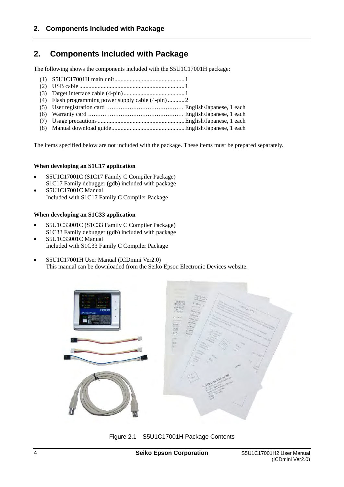### <span id="page-9-0"></span>**2. Components Included with Package**

The following shows the components included with the S5U1C17001H package:

The items specified below are not included with the package. These items must be prepared separately.

### **When developing an S1C17 application**

- S5U1C17001C (S1C17 Family C Compiler Package) S1C17 Family debugger (gdb) included with package
- S5U1C17001C Manual Included with S1C17 Family C Compiler Package

### **When developing an S1C33 application**

- S5U1C33001C (S1C33 Family C Compiler Package) S1C33 Family debugger (gdb) included with package
- S5U1C33001C Manual Included with S1C33 Family C Compiler Package
- S5U1C17001H User Manual (ICDmini Ver2.0) This manual can be downloaded from the Seiko Epson Electronic Devices website.



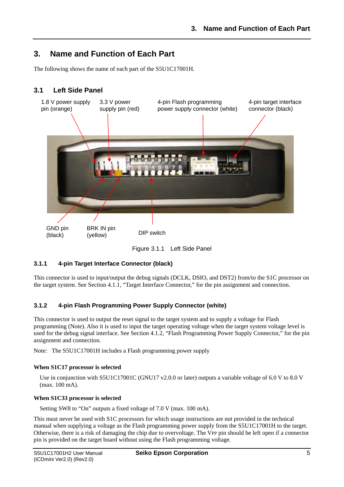### <span id="page-10-0"></span>**3. Name and Function of Each Part**

The following shows the name of each part of the S5U1C17001H.

### <span id="page-10-1"></span>**3.1 Left Side Panel**



Figure 3.1.1 Left Side Panel

### <span id="page-10-2"></span>**3.1.1 4-pin Target Interface Connector (black)**

This connector is used to input/output the debug signals (DCLK, DSIO, and DST2) from/to the S1C processor on the target system. See Section 4.1.1, "Target Interface Connector," for the pin assignment and connection.

### <span id="page-10-3"></span>**3.1.2 4-pin Flash Programming Power Supply Connector (white)**

This connector is used to output the reset signal to the target system and to supply a voltage for Flash programming (Note). Also it is used to input the target operating voltage when the target system voltage level is used for the debug signal interface. See Section 4.1.2, "Flash Programming Power Supply Connector," for the pin assignment and connection.

Note: The S5U1C17001H includes a Flash programming power supply

### **When S1C17 processor is selected**

Use in conjunction with S5U1C17001C (GNU17 v2.0.0 or later) outputs a variable voltage of 6.0 V to 8.0 V (max. 100 mA).

### **When S1C33 processor is selected**

Setting SW8 to "On" outputs a fixed voltage of 7.0 V (max. 100 mA).

This must never be used with S1C processors for which usage instructions are not provided in the technical manual when supplying a voltage as the Flash programming power supply from the S5U1C17001H to the target. Otherwise, there is a risk of damaging the chip due to overvoltage. The VPP pin should be left open if a connector pin is provided on the target board without using the Flash programming voltage.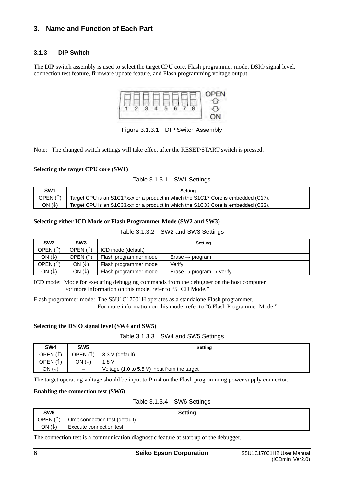### <span id="page-11-0"></span>**3.1.3 DIP Switch**

The DIP switch assembly is used to select the target CPU core, Flash programmer mode, DSIO signal level, connection test feature, firmware update feature, and Flash programming voltage output.



Figure 3.1.3.1 DIP Switch Assembly

Note: The changed switch settings will take effect after the RESET/START switch is pressed.

### **Selecting the target CPU core (SW1)**

### Table 3.1.3.1 SW1 Settings

| SW1      | Setting                                                                           |
|----------|-----------------------------------------------------------------------------------|
| OPEN (1) | Target CPU is an S1C17xxx or a product in which the S1C17 Core is embedded (C17). |
| ON (↓)   | Target CPU is an S1C33xxx or a product in which the S1C33 Core is embedded (C33). |

### **Selecting either ICD Mode or Flash Programmer Mode (SW2 and SW3)**

### Table 3.1.3.2 SW2 and SW3 Settings

| SW <sub>2</sub>   | SW <sub>3</sub>   |                       | Setting                                          |
|-------------------|-------------------|-----------------------|--------------------------------------------------|
| OPEN (1)          | OPEN $(1)$        | ICD mode (default)    |                                                  |
| ON $(\downarrow)$ | OPEN $(1)$        | Flash programmer mode | Erase $\rightarrow$ program                      |
| OPEN (1)          | ON $(\downarrow)$ | Flash programmer mode | Verifv                                           |
| ON $(\downarrow)$ | ON $(\downarrow)$ | Flash programmer mode | Erase $\rightarrow$ program $\rightarrow$ verify |

ICD mode: Mode for executing debugging commands from the debugger on the host computer For more information on this mode, refer to "5 ICD Mode."

Flash programmer mode: The S5U1C17001H operates as a standalone Flash programmer. For more information on this mode, refer to "6 Flash Programmer Mode."

### **Selecting the DSIO signal level (SW4 and SW5)**

|  | Table 3.1.3.3 SW4 and SW5 Settings |
|--|------------------------------------|
|--|------------------------------------|

| SW <sub>4</sub>          | SW <sub>5</sub>          | Setting                                                         |
|--------------------------|--------------------------|-----------------------------------------------------------------|
| OPEN $($ $\uparrow$ $)$  | OPEN ( <sup>↑</sup> )    | 3.3 V (default)                                                 |
| $\lambda$<br><b>OPEN</b> | ON (↓)                   | .8 V                                                            |
| ON $(\downarrow)$        | $\overline{\phantom{0}}$ | Voltage $(1.0 \text{ to } 5.5 \text{ V})$ input from the target |

The target operating voltage should be input to Pin 4 on the Flash programming power supply connector.

### **Enabling the connection test (SW6)**

### Table 3.1.3.4 SW6 Settings

| SW <sub>6</sub>             | <b>Setting</b>                 |
|-----------------------------|--------------------------------|
| $\mathbf{A}$<br><b>OPEN</b> | Omit connection test (default) |
| ON $(\downarrow)$           | Execute connection test        |

The connection test is a communication diagnostic feature at start up of the debugger.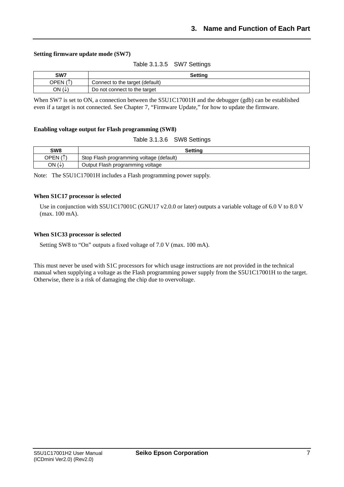### **Setting firmware update mode (SW7)**

Table 3.1.3.5 SW7 Settings

| SW7                | <b>Setting</b>                  |  |
|--------------------|---------------------------------|--|
| $\sqrt{ }$<br>OPEN | Connect to the target (default) |  |
| ON (↓              | Do not connect to the target    |  |

When SW7 is set to ON, a connection between the S5U1C17001H and the debugger (gdb) can be established even if a target is not connected. See Chapter 7, "Firmware Update," for how to update the firmware.

#### **Enabling voltage output for Flash programming (SW8)**

| SW <sub>8</sub> | Setting                                  |
|-----------------|------------------------------------------|
| OPEN (↑)        | Stop Flash programming voltage (default) |
| ON<br>∪         | Output Flash programming voltage         |

Note: The S5U1C17001H includes a Flash programming power supply.

#### **When S1C17 processor is selected**

Use in conjunction with S5U1C17001C (GNU17 v2.0.0 or later) outputs a variable voltage of 6.0 V to 8.0 V (max. 100 mA).

#### **When S1C33 processor is selected**

Setting SW8 to "On" outputs a fixed voltage of 7.0 V (max. 100 mA).

This must never be used with S1C processors for which usage instructions are not provided in the technical manual when supplying a voltage as the Flash programming power supply from the S5U1C17001H to the target. Otherwise, there is a risk of damaging the chip due to overvoltage.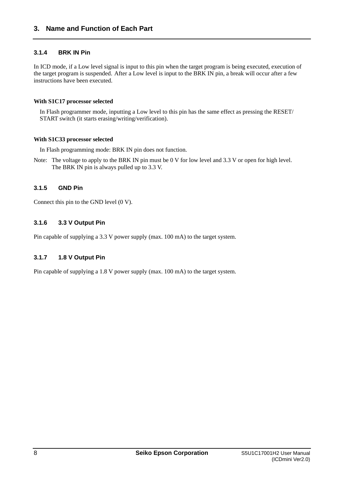### <span id="page-13-0"></span>**3.1.4 BRK IN Pin**

In ICD mode, if a Low level signal is input to this pin when the target program is being executed, execution of the target program is suspended. After a Low level is input to the BRK IN pin, a break will occur after a few instructions have been executed.

### **With S1C17 processor selected**

In Flash programmer mode, inputting a Low level to this pin has the same effect as pressing the RESET/ START switch (it starts erasing/writing/verification).

### **With S1C33 processor selected**

In Flash programming mode: BRK IN pin does not function.

Note: The voltage to apply to the BRK IN pin must be 0 V for low level and 3.3 V or open for high level. The BRK IN pin is always pulled up to 3.3 V.

### <span id="page-13-1"></span>**3.1.5 GND Pin**

Connect this pin to the GND level (0 V).

### <span id="page-13-2"></span>**3.1.6 3.3 V Output Pin**

Pin capable of supplying a 3.3 V power supply (max. 100 mA) to the target system.

### <span id="page-13-3"></span>**3.1.7 1.8 V Output Pin**

Pin capable of supplying a 1.8 V power supply (max. 100 mA) to the target system.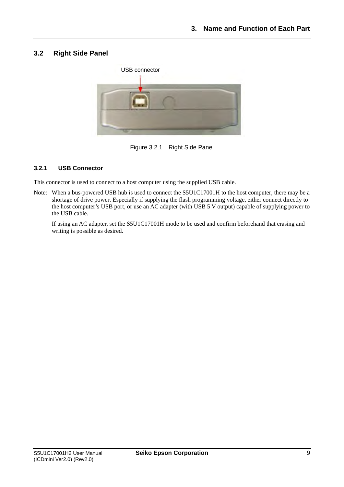### <span id="page-14-0"></span>**3.2 Right Side Panel**



Figure 3.2.1 Right Side Panel

### <span id="page-14-1"></span>**3.2.1 USB Connector**

This connector is used to connect to a host computer using the supplied USB cable.

Note: When a bus-powered USB hub is used to connect the S5U1C17001H to the host computer, there may be a shortage of drive power. Especially if supplying the flash programming voltage, either connect directly to the host computer's USB port, or use an AC adapter (with USB 5 V output) capable of supplying power to the USB cable.

 If using an AC adapter, set the S5U1C17001H mode to be used and confirm beforehand that erasing and writing is possible as desired.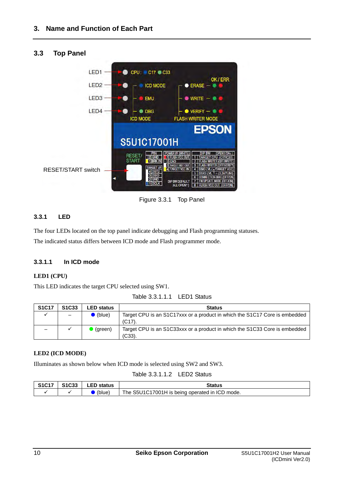<span id="page-15-0"></span>

Figure 3.3.1 Top Panel

### <span id="page-15-1"></span>**3.3.1 LED**

The four LEDs located on the top panel indicate debugging and Flash programming statuses. The indicated status differs between ICD mode and Flash programmer mode.

### <span id="page-15-2"></span>**3.3.1.1 In ICD mode**

### **LED1 (CPU)**

This LED indicates the target CPU selected using SW1.

| Table 3.3.1.1.1 LED1 Status |  |
|-----------------------------|--|
|-----------------------------|--|

| <b>S1C17</b> | S <sub>1</sub> C <sub>33</sub> | <b>LED status</b>    | <b>Status</b>                                                                           |
|--------------|--------------------------------|----------------------|-----------------------------------------------------------------------------------------|
|              |                                | $\bullet$ (blue)     | Target CPU is an S1C17xxx or a product in which the S1C17 Core is embedded<br>$(C17)$ . |
|              |                                | <sup>1</sup> (green) | Target CPU is an S1C33xxx or a product in which the S1C33 Core is embedded<br>(C33).    |

### **LED2 (ICD MODE)**

Illuminates as shown below when ICD mode is selected using SW2 and SW3.

Table 3.3.1.1.2 LED2 Status

| <b>S1C17</b> | S <sub>1</sub> C <sub>33</sub> | <b>LED status</b> | Status                                         |
|--------------|--------------------------------|-------------------|------------------------------------------------|
|              |                                | (blue)            | The S5U1C17001H is being operated in ICD mode. |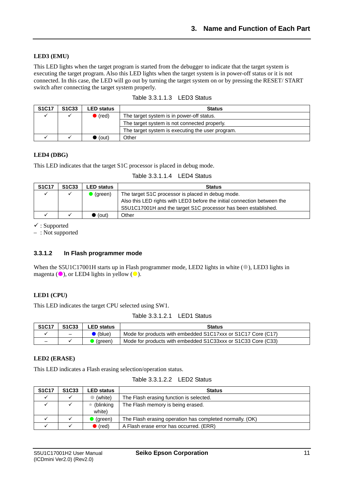### **LED3 (EMU)**

This LED lights when the target program is started from the debugger to indicate that the target system is executing the target program. Also this LED lights when the target system is in power-off status or it is not connected. In this case, the LED will go out by turning the target system on or by pressing the RESET/ START switch after connecting the target system properly.

| <b>S1C17</b> | S <sub>1</sub> C <sub>33</sub> | <b>LED status</b> | <b>Status</b>                                    |
|--------------|--------------------------------|-------------------|--------------------------------------------------|
|              |                                | $\bullet$ (red)   | The target system is in power-off status.        |
|              |                                |                   | The target system is not connected properly.     |
|              |                                |                   | The target system is executing the user program. |
|              |                                | $\bullet$ (out)   | Other                                            |

### Table 3.3.1.1.3 LED3 Status

#### **LED4 (DBG)**

This LED indicates that the target S1C processor is placed in debug mode.

| Table 3.3.1.1.4 LED4 Status |  |  |
|-----------------------------|--|--|
|-----------------------------|--|--|

| <b>S1C17</b> | S <sub>1</sub> C <sub>33</sub> | LED status        | <b>Status</b>                                                            |
|--------------|--------------------------------|-------------------|--------------------------------------------------------------------------|
|              |                                | $\bullet$ (green) | The target S1C processor is placed in debug mode.                        |
|              |                                |                   | Also this LED rights with LED3 before the initial connection between the |
|              |                                |                   | S5U1C17001H and the target S1C processor has been established.           |
|              |                                | (out)             | Other                                                                    |

 $\checkmark$ : Supported

– : Not supported

#### <span id="page-16-0"></span>**3.3.1.2 In Flash programmer mode**

When the S5U1C17001H starts up in Flash programmer mode, LED2 lights in white  $($   $)$ , LED3 lights in magenta  $(\bullet)$ , or LED4 lights in yellow  $(\bullet)$ .

#### **LED1 (CPU)**

This LED indicates the target CPU selected using SW1.

| Table 3.3.1.2.1 LED1 Status |  |  |
|-----------------------------|--|--|
|-----------------------------|--|--|

| <b>S1C17</b> | S <sub>1</sub> C <sub>33</sub> | <b>LED status</b> | Status                                                       |
|--------------|--------------------------------|-------------------|--------------------------------------------------------------|
|              |                                | $\bullet$ (blue)  | Mode for products with embedded S1C17xxx or S1C17 Core (C17) |
| -            |                                | (green)           | Mode for products with embedded S1C33xxx or S1C33 Core (C33) |

#### **LED2 (ERASE)**

This LED indicates a Flash erasing selection/operation status.

| Table 3.3.1.2.2 LED2 Status |  |
|-----------------------------|--|
|-----------------------------|--|

| <b>S1C17</b> | S <sub>1</sub> C <sub>33</sub> | <b>LED status</b>           | <b>Status</b>                                            |  |
|--------------|--------------------------------|-----------------------------|----------------------------------------------------------|--|
|              |                                | (white)                     | The Flash erasing function is selected.                  |  |
|              |                                | $\star$ (blinking<br>white) | The Flash memory is being erased.                        |  |
|              |                                |                             |                                                          |  |
|              |                                | (green)                     | The Flash erasing operation has completed normally. (OK) |  |
|              |                                | $\bullet$ (red)             | A Flash erase error has occurred. (ERR)                  |  |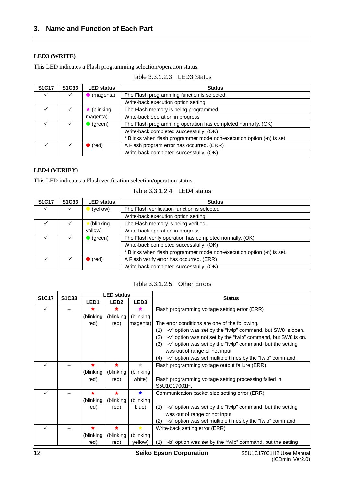### **LED3 (WRITE)**

This LED indicates a Flash programming selection/operation status.

| <b>S1C17</b> | S <sub>1</sub> C <sub>33</sub> | <b>LED status</b> | <b>Status</b>                                                         |  |
|--------------|--------------------------------|-------------------|-----------------------------------------------------------------------|--|
|              |                                | (magenta)         | The Flash programming function is selected.                           |  |
|              |                                |                   | Write-back execution option setting                                   |  |
|              |                                | (blinking)        | The Flash memory is being programmed.                                 |  |
|              |                                | magenta)          | Write-back operation in progress                                      |  |
|              |                                | $\bullet$ (green) | The Flash programming operation has completed normally. (OK)          |  |
|              |                                |                   | Write-back completed successfully. (OK)                               |  |
|              |                                |                   | * Blinks when flash programmer mode non-execution option (-n) is set. |  |
|              |                                | $\bullet$ (red)   | A Flash program error has occurred. (ERR)                             |  |
|              |                                |                   | Write-back completed successfully. (OK)                               |  |

### Table 3.3.1.2.3 LED3 Status

### **LED4 (VERIFY)**

This LED indicates a Flash verification selection/operation status.

| Table 3.3.1.2.4 | LED4 status |
|-----------------|-------------|
|-----------------|-------------|

| <b>S1C17</b> | S <sub>1</sub> C <sub>33</sub> | <b>LED status</b> | <b>Status</b>                                                         |  |
|--------------|--------------------------------|-------------------|-----------------------------------------------------------------------|--|
| ✓            |                                | (yellow)          | The Flash verification function is selected.                          |  |
|              |                                |                   | Write-back execution option setting                                   |  |
|              |                                | (blinking         | The Flash memory is being verified.                                   |  |
|              |                                | yellow)           | Write-back operation in progress                                      |  |
|              |                                | $\bullet$ (green) | The Flash verify operation has completed normally. (OK)               |  |
|              |                                |                   | Write-back completed successfully. (OK)                               |  |
|              |                                |                   | * Blinks when flash programmer mode non-execution option (-n) is set. |  |
|              |                                | $\bullet$ (red)   | A Flash verify error has occurred. (ERR)                              |  |
|              |                                |                   | Write-back completed successfully. (OK)                               |  |

Table 3.3.1.2.5 Other Errors

| <b>S1C17</b> | S <sub>1</sub> C <sub>33</sub> |                  | <b>LED status</b> |                  | <b>Status</b>                                                     |  |
|--------------|--------------------------------|------------------|-------------------|------------------|-------------------------------------------------------------------|--|
|              |                                | LED <sub>1</sub> | LED <sub>2</sub>  | LED <sub>3</sub> |                                                                   |  |
| ✓            |                                |                  | ★                 | ★                | Flash programming voltage setting error (ERR)                     |  |
|              |                                | (blinking        | (blinking         | (blinking        |                                                                   |  |
|              |                                | red)             | red)              | magenta)         | The error conditions are one of the following.                    |  |
|              |                                |                  |                   |                  | (1) "-v" option was set by the "fwlp" command, but SW8 is open.   |  |
|              |                                |                  |                   |                  | (2) "-v" option was not set by the "fwlp" command, but SW8 is on. |  |
|              |                                |                  |                   |                  | (3) "-v" option was set by the "fwlp" command, but the setting    |  |
|              |                                |                  |                   |                  | was out of range or not input.                                    |  |
|              |                                |                  |                   |                  | (4) "-v" option was set multiple times by the "fwlp" command.     |  |
| ✓            |                                | ٠                | $\bigstar$        | ÷                | Flash programming voltage output failure (ERR)                    |  |
|              |                                | (blinking        | (blinking         | (blinking        |                                                                   |  |
|              |                                | red)             | red)              | white)           | Flash programming voltage setting processing failed in            |  |
|              |                                |                  |                   |                  | S5U1C17001H.                                                      |  |
| ✓            |                                |                  | $\bigstar$        | $\bigstar$       | Communication packet size setting error (ERR)                     |  |
|              |                                | (blinking        | (blinking         | (blinking        |                                                                   |  |
|              |                                | red)             | red)              | blue)            | (1) "-s" option was set by the "fwlp" command, but the setting    |  |
|              |                                |                  |                   |                  | was out of range or not input.                                    |  |
|              |                                |                  |                   |                  | "-s" option was set multiple times by the "fwlp" command.<br>(2)  |  |
| ✓            |                                |                  | ★                 | $\bigstar$       | Write-back setting error (ERR)                                    |  |
|              |                                | (blinking        | (blinking         | (blinking        |                                                                   |  |
|              |                                | red)             | red)              | yellow)          | "-b" option was set by the "fwlp" command, but the setting<br>(1) |  |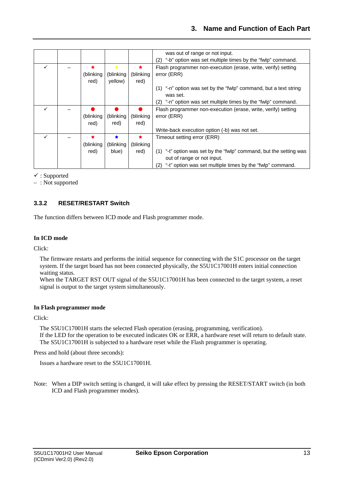|   |           |           |           | was out of range or not input.                                        |
|---|-----------|-----------|-----------|-----------------------------------------------------------------------|
|   |           |           |           | (2) "-b" option was set multiple times by the "fwlp" command.         |
| ✓ | ×         | ★         | ★         | Flash programmer non-execution (erase, write, verify) setting         |
|   | (blinking | (blinking | (blinking | error (ERR)                                                           |
|   | red)      | yellow)   | red)      |                                                                       |
|   |           |           |           | (1) "-n" option was set by the "fwlp" command, but a text string      |
|   |           |           |           | was set.                                                              |
|   |           |           |           | (2) "-n" option was set multiple times by the "fwlp" command.         |
| ✓ |           |           |           | Flash programmer non-execution (erase, write, verify) setting         |
|   | (blinking | (blinking | (blinking | error (ERR)                                                           |
|   | red)      | red)      | red)      |                                                                       |
|   |           |           |           | Write-back execution option (-b) was not set.                         |
| ✓ | *         | ★         | ★         | Timeout setting error (ERR)                                           |
|   | (blinking | (blinking | (blinking |                                                                       |
|   | red)      | blue)     | red)      | "-t" option was set by the "fwlp" command, but the setting was<br>(1) |
|   |           |           |           | out of range or not input.                                            |
|   |           |           |           | "-t" option was set multiple times by the "fwlp" command.<br>(2)      |

: Supported

– : Not supported

### <span id="page-18-0"></span>**3.3.2 RESET/RESTART Switch**

The function differs between ICD mode and Flash programmer mode.

### **In ICD mode**

Click:

The firmware restarts and performs the initial sequence for connecting with the S1C processor on the target system. If the target board has not been connected physically, the S5U1C17001H enters initial connection waiting status.

When the TARGET RST OUT signal of the S5U1C17001H has been connected to the target system, a reset signal is output to the target system simultaneously.

#### **In Flash programmer mode**

Click:

The S5U1C17001H starts the selected Flash operation (erasing, programming, verification). If the LED for the operation to be executed indicates OK or ERR, a hardware reset will return to default state. The S5U1C17001H is subjected to a hardware reset while the Flash programmer is operating.

Press and hold (about three seconds):

Issues a hardware reset to the S5U1C17001H.

Note: When a DIP switch setting is changed, it will take effect by pressing the RESET/START switch (in both ICD and Flash programmer modes).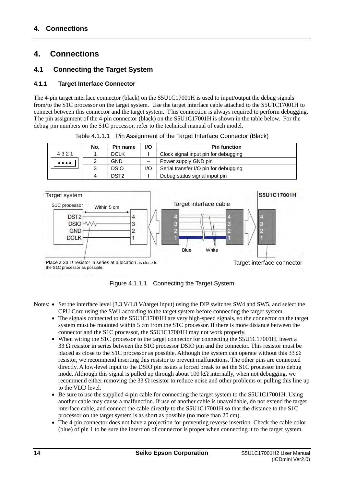### <span id="page-19-0"></span>**4. Connections**

### <span id="page-19-1"></span>**4.1 Connecting the Target System**

### <span id="page-19-2"></span>**4.1.1 Target Interface Connector**

The 4-pin target interface connector (black) on the S5U1C17001H is used to input/output the debug signals from/to the S1C processor on the target system. Use the target interface cable attached to the S5U1C17001H to connect between this connector and the target system. This connection is always required to perform debugging. The pin assignment of the 4-pin connector (black) on the S5U1C17001H is shown in the table below. For the debug pin numbers on the S1C processor, refer to the technical manual of each model.

|                                | No. | Pin name         | I/O | <b>Pin function</b>                   |
|--------------------------------|-----|------------------|-----|---------------------------------------|
| 4321                           |     | <b>DCLK</b>      |     | Clock signal input pin for debugging  |
| $\bullet\bullet\bullet\bullet$ |     | GND              |     | Power supply GND pin                  |
|                                |     | <b>DSIO</b>      | 1/O | Serial transfer I/O pin for debugging |
|                                |     | DST <sub>2</sub> |     | Debug status signal input pin         |

Table 4.1.1.1 Pin Assignment of the Target Interface Connector (Black)



Figure 4.1.1.1 Connecting the Target System

- Notes:  $\bullet$  Set the interface level (3.3 V/1.8 V/target input) using the DIP switches SW4 and SW5, and select the CPU Core using the SW1 according to the target system before connecting the target system.
	- The signals connected to the S5U1C17001H are very high-speed signals, so the connector on the target system must be mounted within 5 cm from the S1C processor. If there is more distance between the connector and the S1C processor, the S5U1C17001H may not work properly.
	- When wiring the S1C processor to the target connector for connecting the S5U1C17001H, insert a 33  $\Omega$  resistor in series between the S1C processor DSIO pin and the connector. This resistor must be placed as close to the S1C processor as possible. Although the system can operate without this 33  $\Omega$ resistor, we recommend inserting this resistor to prevent malfunctions. The other pins are connected directly. A low-level input to the DSIO pin issues a forced break to set the S1C processor into debug mode. Although this signal is pulled up through about 100 k $\Omega$  internally, when not debugging, we recommend either removing the 33  $\Omega$  resistor to reduce noise and other problems or pulling this line up to the VDD level.
	- Be sure to use the supplied 4-pin cable for connecting the target system to the S5U1C17001H. Using another cable may cause a malfunction. If use of another cable is unavoidable, do not extend the target interface cable, and connect the cable directly to the S5U1C17001H so that the distance to the S1C processor on the target system is as short as possible (no more than 20 cm).
	- The 4-pin connector does not have a projection for preventing reverse insertion. Check the cable color (blue) of pin 1 to be sure the insertion of connector is proper when connecting it to the target system.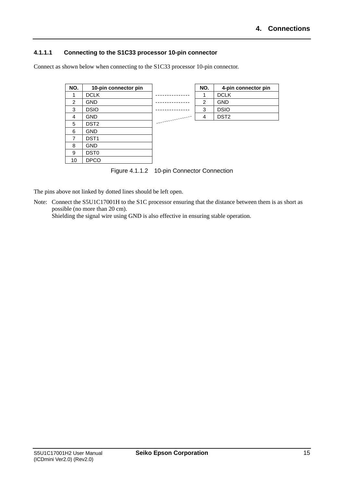### <span id="page-20-0"></span>**4.1.1.1 Connecting to the S1C33 processor 10-pin connector**

Connect as shown below when connecting to the S1C33 processor 10-pin connector.

| NO. | 10-pin connector pin |         | NO. | 4-pin connector pin |
|-----|----------------------|---------|-----|---------------------|
|     | <b>DCLK</b>          | .       |     | <b>DCLK</b>         |
| 2   | <b>GND</b>           |         | 2   | <b>GND</b>          |
| 3   | <b>DSIO</b>          | ------- | 3   | <b>DSIO</b>         |
| 4   | <b>GND</b>           |         | 4   | DST <sub>2</sub>    |
| 5   | DST <sub>2</sub>     |         |     |                     |
| 6   | <b>GND</b>           |         |     |                     |
| 7   | DST <sub>1</sub>     |         |     |                     |
| 8   | <b>GND</b>           |         |     |                     |
| 9   | DST <sub>0</sub>     |         |     |                     |
| 10  | <b>DPCO</b>          |         |     |                     |

Figure 4.1.1.2 10-pin Connector Connection

The pins above not linked by dotted lines should be left open.

Note: Connect the S5U1C17001H to the S1C processor ensuring that the distance between them is as short as possible (no more than 20 cm).

Shielding the signal wire using GND is also effective in ensuring stable operation.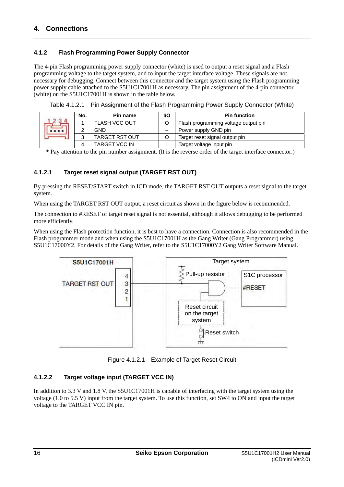### <span id="page-21-0"></span>**4.1.2 Flash Programming Power Supply Connector**

The 4-pin Flash programming power supply connector (white) is used to output a reset signal and a Flash programming voltage to the target system, and to input the target interface voltage. These signals are not necessary for debugging. Connect between this connector and the target system using the Flash programming power supply cable attached to the S5U1C17001H as necessary. The pin assignment of the 4-pin connector (white) on the S5U1C17001H is shown in the table below.

| No.       | Pin name              | I/O | <b>Pin function</b>                  |
|-----------|-----------------------|-----|--------------------------------------|
|           | <b>FLASH VCC OUT</b>  |     | Flash programming voltage output pin |
| ⌒         | GND                   |     | Power supply GND pin                 |
|           | <b>TARGET RST OUT</b> |     | Target reset signal output pin       |
| $\Lambda$ | <b>TARGET VCC IN</b>  |     | Target voltage input pin             |

Table 4.1.2.1 Pin Assignment of the Flash Programming Power Supply Connector (White)

\* Pay attention to the pin number assignment. (It is the reverse order of the target interface connector.)

### <span id="page-21-1"></span>**4.1.2.1 Target reset signal output (TARGET RST OUT)**

By pressing the RESET/START switch in ICD mode, the TARGET RST OUT outputs a reset signal to the target system.

When using the TARGET RST OUT output, a reset circuit as shown in the figure below is recommended.

The connection to #RESET of target reset signal is not essential, although it allows debugging to be performed more efficiently.

When using the Flash protection function, it is best to have a connection. Connection is also recommended in the Flash programmer mode and when using the S5U1C17001H as the Gang Writer (Gang Programmer) using S5U1C17000Y2. For details of the Gang Writer, refer to the S5U1C17000Y2 Gang Writer Software Manual.



Figure 4.1.2.1 Example of Target Reset Circuit

### <span id="page-21-2"></span>**4.1.2.2 Target voltage input (TARGET VCC IN)**

In addition to 3.3 V and 1.8 V, the S5U1C17001H is capable of interfacing with the target system using the voltage (1.0 to 5.5 V) input from the target system. To use this function, set SW4 to ON and input the target voltage to the TARGET VCC IN pin.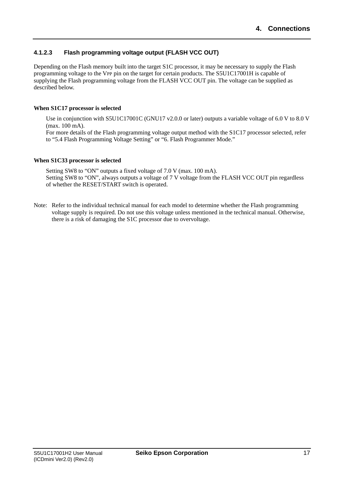### <span id="page-22-0"></span>**4.1.2.3 Flash programming voltage output (FLASH VCC OUT)**

Depending on the Flash memory built into the target S1C processor, it may be necessary to supply the Flash programming voltage to the VPP pin on the target for certain products. The S5U1C17001H is capable of supplying the Flash programming voltage from the FLASH VCC OUT pin. The voltage can be supplied as described below.

### **When S1C17 processor is selected**

Use in conjunction with S5U1C17001C (GNU17 y2.0.0 or later) outputs a variable voltage of 6.0 V to 8.0 V (max. 100 mA).

For more details of the Flash programming voltage output method with the S1C17 processor selected, refer to "5.4 Flash Programming Voltage Setting" or "6. Flash Programmer Mode."

### **When S1C33 processor is selected**

Setting SW8 to "ON" outputs a fixed voltage of 7.0 V (max. 100 mA). Setting SW8 to "ON", always outputs a voltage of 7 V voltage from the FLASH VCC OUT pin regardless of whether the RESET/START switch is operated.

Note: Refer to the individual technical manual for each model to determine whether the Flash programming voltage supply is required. Do not use this voltage unless mentioned in the technical manual. Otherwise, there is a risk of damaging the S1C processor due to overvoltage.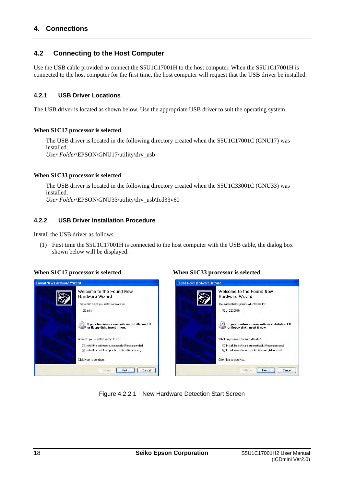### **4. Connections**

### <span id="page-23-0"></span>**4.2 Connecting to the Host Computer**

Use the USB cable provided to connect the S5U1C17001H to the host computer. When the S5U1C17001H is connected to the host computer for the first time, the host computer will request that the USB driver be installed.

### <span id="page-23-1"></span>**4.2.1 USB Driver Locations**

The USB driver is located as shown below. Use the appropriate USB driver to suit the operating system.

#### **When S1C17 processor is selected**

The USB driver is located in the following directory created when the S5U1C17001C (GNU17) was installed. *User Folder*\EPSON\GNU17\utility\drv\_usb

#### **When S1C33 processor is selected**

The USB driver is located in the following directory created when the S5U1C33001C (GNU33) was installed. *User Folder*\EPSON\GNU33\utility\drv\_usb\Icd33v60

### <span id="page-23-2"></span>**4.2.2 USB Driver Installation Procedure**

Install the USB driver as follows.

(1) First time the S5U1C17001H is connected to the host computer with the USB cable, the dialog box shown below will be displayed.



#### **When S1C17 processor is selected When S1C33 processor is selected**

| Welcome to the Found New                                                        |
|---------------------------------------------------------------------------------|
| Hardware Wizard                                                                 |
| This wizard helps you install software for:                                     |
| S5U1C33001H                                                                     |
| If your hardware came with an installation CD<br>or floppy disk, insert it now. |
| What do you want the wizard to do?                                              |
| Install the software automatically (Recommended)<br>€                           |
| Install from a list or specific location [Advanced]                             |
| Click Next to continue.                                                         |

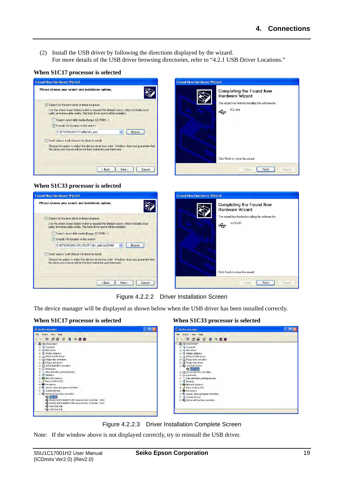(2) Install the USB driver by following the directions displayed by the wizard. For more details of the USB driver browsing directories, refer to "4.2.1 USB Driver Locations."





| Completing the Found New<br>Hardware Wizard<br>The wizard has finished installing the software for:<br>ICD mini |
|-----------------------------------------------------------------------------------------------------------------|
| Click Finish to close the wizard.                                                                               |

### **When S1C33 processor is selected**



Figure 4.2.2.2 Driver Installation Screen

The device manager will be displayed as shown below when the USB driver has been installed correctly.

### **When S1C17 processor is selected When S1C33 processor is selected**



Figure 4.2.2.3 Driver Installation Complete Screen

Note: If the window above is not displayed correctly, try to reinstall the USB driver.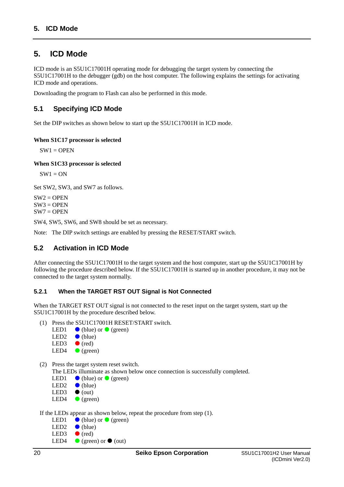### <span id="page-25-0"></span>**5. ICD Mode**

ICD mode is an S5U1C17001H operating mode for debugging the target system by connecting the S5U1C17001H to the debugger (gdb) on the host computer. The following explains the settings for activating ICD mode and operations.

Downloading the program to Flash can also be performed in this mode.

### <span id="page-25-1"></span>**5.1 Specifying ICD Mode**

Set the DIP switches as shown below to start up the S5U1C17001H in ICD mode.

### **When S1C17 processor is selected**

 $SW1 = OPER$ 

**When S1C33 processor is selected** 

 $SW1 = ON$ 

Set SW2, SW3, and SW7 as follows.

 $SW2 = OPER$  $SW3 = OPER$  $SW7 = OPER$ 

SW4, SW5, SW6, and SW8 should be set as necessary.

Note: The DIP switch settings are enabled by pressing the RESET/START switch.

### <span id="page-25-2"></span>**5.2 Activation in ICD Mode**

After connecting the S5U1C17001H to the target system and the host computer, start up the S5U1C17001H by following the procedure described below. If the S5U1C17001H is started up in another procedure, it may not be connected to the target system normally.

### <span id="page-25-3"></span>**5.2.1 When the TARGET RST OUT Signal is Not Connected**

When the TARGET RST OUT signal is not connected to the reset input on the target system, start up the S5U1C17001H by the procedure described below.

- (1) Press the S5U1C17001H RESET/START switch.
	- LED1  $\bullet$  (blue) or  $\bullet$  (green)
	- LED2  $\bullet$  (blue)
	- LED3  $\bullet$  (red)
	- LED4  $\bullet$  (green)
- (2) Press the target system reset switch.

The LEDs illuminate as shown below once connection is successfully completed.

- LED1  $\bullet$  (blue) or  $\bullet$  (green)
- LED2  $\bullet$  (blue)
- LED3  $\bullet$  (out)
- LED4  $\bullet$  (green)

If the LEDs appear as shown below, repeat the procedure from step (1).

LED1  $\bullet$  (blue) or  $\bullet$  (green) LED2  $\bullet$  (blue) LED3  $\bullet$  (red)<br>LED4  $\bullet$  (gree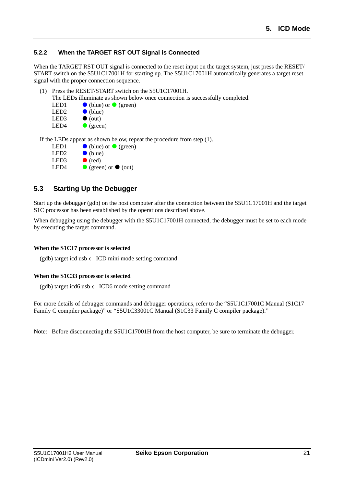### <span id="page-26-0"></span>**5.2.2 When the TARGET RST OUT Signal is Connected**

When the TARGET RST OUT signal is connected to the reset input on the target system, just press the RESET/ START switch on the S5U1C17001H for starting up. The S5U1C17001H automatically generates a target reset signal with the proper connection sequence.

- (1) Press the RESET/START switch on the S5U1C17001H.
	- The LEDs illuminate as shown below once connection is successfully completed.

| LED <sub>1</sub> | $\bullet$ (blue) or $\bullet$ (green) |
|------------------|---------------------------------------|
| LED <sub>2</sub> | $\bullet$ (blue)                      |
| LED3             | $\bullet$ (out)                       |
| LED4             | $\bullet$ (green)                     |

If the LEDs appear as shown below, repeat the procedure from step (1).

| $\bullet$ (blue) or $\bullet$ (green) |
|---------------------------------------|
| $\bullet$ (blue)                      |
| $\bullet$ (red)                       |
| $\bullet$ (green) or $\bullet$ (out)  |
|                                       |

# <span id="page-26-1"></span>**5.3 Starting Up the Debugger**

Start up the debugger (gdb) on the host computer after the connection between the S5U1C17001H and the target S1C processor has been established by the operations described above.

When debugging using the debugger with the S5U1C17001H connected, the debugger must be set to each mode by executing the target command.

### **When the S1C17 processor is selected**

 $(gdb)$  target icd usb  $\leftarrow$  ICD mini mode setting command

### **When the S1C33 processor is selected**

 $(gdb)$  target icd6 usb  $\leftarrow$  ICD6 mode setting command

For more details of debugger commands and debugger operations, refer to the "S5U1C17001C Manual (S1C17 Family C compiler package)" or "S5U1C33001C Manual (S1C33 Family C compiler package)."

Note: Before disconnecting the S5U1C17001H from the host computer, be sure to terminate the debugger.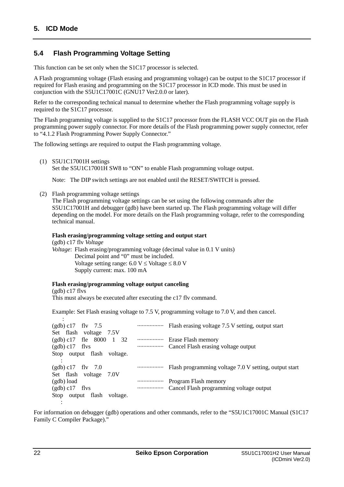### <span id="page-27-0"></span>**5.4 Flash Programming Voltage Setting**

This function can be set only when the S1C17 processor is selected.

A Flash programming voltage (Flash erasing and programming voltage) can be output to the S1C17 processor if required for Flash erasing and programming on the S1C17 processor in ICD mode. This must be used in conjunction with the S5U1C17001C (GNU17 Ver2.0.0 or later).

Refer to the corresponding technical manual to determine whether the Flash programming voltage supply is required to the S1C17 processor.

The Flash programming voltage is supplied to the S1C17 processor from the FLASH VCC OUT pin on the Flash programming power supply connector. For more details of the Flash programming power supply connector, refer to "4.1.2 Flash Programming Power Supply Connector."

The following settings are required to output the Flash programming voltage.

(1) S5U1C17001H settings Set the S5U1C17001H SW8 to "ON" to enable Flash programming voltage output.

Note: The DIP switch settings are not enabled until the RESET/SWITCH is pressed.

(2) Flash programming voltage settings

The Flash programming voltage settings can be set using the following commands after the S5U1C17001H and debugger (gdb) have been started up. The Flash programming voltage will differ depending on the model. For more details on the Flash programming voltage, refer to the corresponding technical manual.

### **Flash erasing/programming voltage setting and output start**

(gdb) c17 flv *Voltage Voltage*: Flash erasing/programming voltage (decimal value in 0.1 V units) Decimal point and "0" must be included. Voltage setting range:  $6.0 V \leq$  Voltage  $\leq 8.0 V$ Supply current: max. 100 mA

### **Flash erasing/programming voltage output canceling**

(gdb) c17 flvs This must always be executed after executing the c17 flv command.

Example: Set Flash erasing voltage to 7.5 V, programming voltage to 7.0 V, and then cancel.

| $(gdb) c17$ fly 7.5                  |                                     |
|--------------------------------------|-------------------------------------|
| Set flash voltage 7.5V               |                                     |
| $(gdb) c17$ fle 8000<br>$\mathbf{1}$ | 32  Erase Flash memory              |
| $(gdb) c17$ flvs                     | Cancel Flash erasing voltage output |
| Stop output flash voltage.           |                                     |
|                                      |                                     |
| $(gdb) c17$ fly 7.0                  |                                     |
| Set flash voltage 7.0V               |                                     |
| $(gdb)$ load                         |                                     |
| $(gdb) c17$ flvs                     |                                     |
| Stop output flash<br>voltage.        |                                     |
|                                      |                                     |

For information on debugger (gdb) operations and other commands, refer to the "S5U1C17001C Manual (S1C17 Family C Compiler Package)."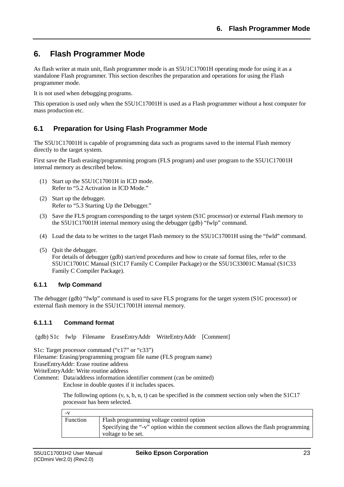### <span id="page-28-0"></span>**6. Flash Programmer Mode**

As flash writer at main unit, flash programmer mode is an S5U1C17001H operating mode for using it as a standalone Flash programmer. This section describes the preparation and operations for using the Flash programmer mode.

It is not used when debugging programs.

This operation is used only when the S5U1C17001H is used as a Flash programmer without a host computer for mass production etc.

### <span id="page-28-1"></span>**6.1 Preparation for Using Flash Programmer Mode**

The S5U1C17001H is capable of programming data such as programs saved to the internal Flash memory directly to the target system.

First save the Flash erasing/programming program (FLS program) and user program to the S5U1C17001H internal memory as described below.

- (1) Start up the S5U1C17001H in ICD mode. Refer to "5.2 Activation in ICD Mode."
- (2) Start up the debugger. Refer to "5.3 Starting Up the Debugger."
- (3) Save the FLS program corresponding to the target system (S1C processor) or external Flash memory to the S5U1C17001H internal memory using the debugger (gdb) "fwlp" command.
- (4) Load the data to be written to the target Flash memory to the S5U1C17001H using the "fwld" command.
- (5) Quit the debugger. For details of debugger (gdb) start/end procedures and how to create saf format files, refer to the S5U1C17001C Manual (S1C17 Family C Compiler Package) or the S5U1C33001C Manual (S1C33 Family C Compiler Package).

### <span id="page-28-2"></span>**6.1.1 fwlp Command**

The debugger (gdb) "fwlp" command is used to save FLS programs for the target system (S1C processor) or external flash memory in the S5U1C17001H internal memory.

### <span id="page-28-3"></span>**6.1.1.1 Command format**

(gdb) S1c fwlp Filename EraseEntryAddr WriteEntryAddr [Comment]

S1c: Target processor command ("c17" or "c33") Filename: Erasing/programming program file name (FLS program name) EraseEntryAddr: Erase routine address WriteEntryAddr: Write routine address Comment: Data/address information identifier comment (can be omitted) Enclose in double quotes if it includes spaces.

> The following options (v, s, b, n, t) can be specified in the comment section only when the S1C17 processor has been selected.

| Function | Flash programming voltage control option                                           |
|----------|------------------------------------------------------------------------------------|
|          | Specifying the "-v" option within the comment section allows the flash programming |
|          | voltage to be set.                                                                 |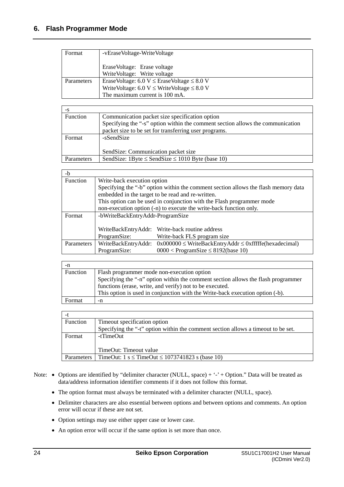| Format     | -vEraseVoltage-WriteVoltage                                                                                                                    |  |
|------------|------------------------------------------------------------------------------------------------------------------------------------------------|--|
|            | EraseVoltage: Erase voltage<br>Write Voltage: Write voltage                                                                                    |  |
| Parameters | EraseVoltage: $6.0 V \leq$ EraseVoltage $\leq 8.0 V$<br>WriteVoltage: 6.0 V $\leq$ WriteVoltage $\leq$ 8.0 V<br>The maximum current is 100 mA. |  |

| -S              |                                                                                |  |
|-----------------|--------------------------------------------------------------------------------|--|
| <b>Function</b> | Communication packet size specification option                                 |  |
|                 | Specifying the "-s" option within the comment section allows the communication |  |
|                 | packet size to be set for transferring user programs.                          |  |
| Format          | -sSendSize                                                                     |  |
|                 |                                                                                |  |
|                 | SendSize: Communication packet size                                            |  |
| Parameters      | SendSize: 1Byte $\le$ SendSize $\le$ 1010 Byte (base 10)                       |  |

| $-b$              |                                                                                    |                                                               |  |
|-------------------|------------------------------------------------------------------------------------|---------------------------------------------------------------|--|
| <b>Function</b>   | Write-back execution option                                                        |                                                               |  |
|                   | Specifying the "-b" option within the comment section allows the flash memory data |                                                               |  |
|                   | embedded in the target to be read and re-written.                                  |                                                               |  |
|                   | This option can be used in conjunction with the Flash programmer mode              |                                                               |  |
|                   | non-execution option (-n) to execute the write-back function only.                 |                                                               |  |
| Format            | -bWriteBackEntryAddr-ProgramSize                                                   |                                                               |  |
|                   |                                                                                    |                                                               |  |
|                   |                                                                                    | WriteBackEntryAddr: Write-back routine address                |  |
|                   | ProgramSize:                                                                       | Write-back FLS program size                                   |  |
| <b>Parameters</b> | WriteBackEntryAddr:                                                                | $0x000000 \leq WriteBackEntryAddr \leq 0xfffffe(hexadecimal)$ |  |
|                   | ProgramSize:                                                                       | $0000 <$ ProgramSize $\leq$ 8192(base 10)                     |  |

| -n       |                                                                                   |
|----------|-----------------------------------------------------------------------------------|
| Function | Flash programmer mode non-execution option                                        |
|          | Specifying the "-n" option within the comment section allows the flash programmer |
|          | functions (erase, write, and verify) not to be executed.                          |
|          | This option is used in conjunction with the Write-back execution option (-b).     |
| Format   | -n                                                                                |

| Function   | Timeout specification option                                                       |
|------------|------------------------------------------------------------------------------------|
|            | Specifying the "-t" option within the comment section allows a time out to be set. |
| Format     | -tTimeOut                                                                          |
|            |                                                                                    |
|            | TimeOut: Timeout value                                                             |
| Parameters | TimeOut: $1 s \leq$ TimeOut $\leq$ 1073741823 s (base 10)                          |

- Note: Options are identified by "delimiter character (NULL, space) + '-' + Option." Data will be treated as data/address information identifier comments if it does not follow this format.
	- The option format must always be terminated with a delimiter character (NULL, space).
	- Delimiter characters are also essential between options and between options and comments. An option error will occur if these are not set.
	- Option settings may use either upper case or lower case.
	- An option error will occur if the same option is set more than once.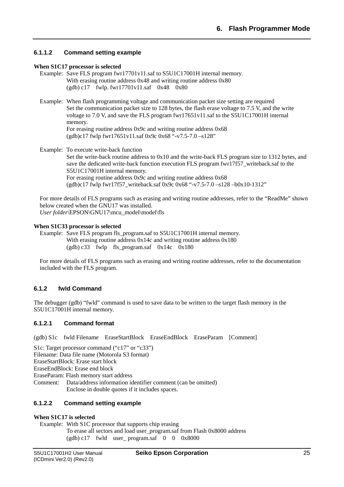### <span id="page-30-0"></span>**6.1.1.2 Command setting example**

#### **When S1C17 processor is selected**

- Example: Save FLS program fwr17701v11.saf to S5U1C17001H internal memory. With erasing routine address 0x48 and writing routine address 0x80 (gdb) c17 fwlp. fwr17701v11.saf 0x48 0x80
- Example: When flash programming voltage and communication packet size setting are required Set the communication packet size to 128 bytes, the flash erase voltage to 7.5 V, and the write voltage to 7.0 V, and save the FLS program fwr17651v11.saf to the S5U1C17001H internal memory. For erasing routine address 0x9c and writing routine address 0x68 (gdb)c17 fwlp fwr17651v11.saf 0x9c 0x68 "-v7.5-7.0 –s128"
- Example: To execute write-back function Set the write-back routine address to 0x10 and the write-back FLS program size to 1312 bytes, and save the dedicated write-back function execution FLS program fwr17f57 writeback.saf to the S5U1C17001H internal memory. For erasing routine address 0x9c and writing routine address 0x68  $(gdb) c17$  fwlp fwr17f57 writeback.saf 0x9c 0x68 "-v7.5-7.0 –s128 –b0x10-1312"

For more details of FLS programs such as erasing and writing routine addresses, refer to the "ReadMe" shown below created when the GNU17 was installed. *User folder\*EPSON\GNU17\mcu\_model\model\fls

#### **When S1C33 processor is selected**

Example: Save FLS program fls\_program.saf to S5U1C17001H internal memory. With erasing routine address  $0x14c$  and writing routine address  $0x180$ (gdb) c33 fwlp fls\_program.saf  $0x14c$   $0x180$ 

For more details of FLS programs such as erasing and writing routine addresses, refer to the documentation included with the FLS program.

### <span id="page-30-1"></span>**6.1.2 fwld Command**

The debugger (gdb) "fwld" command is used to save data to be written to the target flash memory in the S5U1C17001H internal memory.

### <span id="page-30-2"></span>**6.1.2.1 Command format**

(gdb) S1c fwld Filename EraseStartBlock EraseEndBlock EraseParam [Comment]

- S1c: Target processor command ("c17" or "c33")
- Filename: Data file name (Motorola S3 format)

EraseStartBlock: Erase start block

EraseEndBlock: Erase end block

EraseParam: Flash memory start address

Comment: Data/address information identifier comment (can be omitted) Enclose in double quotes if it includes spaces.

### <span id="page-30-3"></span>**6.1.2.2 Command setting example**

### **When S1C17 is selected**

Example: With S1C processor that supports chip erasing To erase all sectors and load user\_program.saf from Flash 0x8000 address  $(gdb) c17$  fwld user program.saf 0 0 0x8000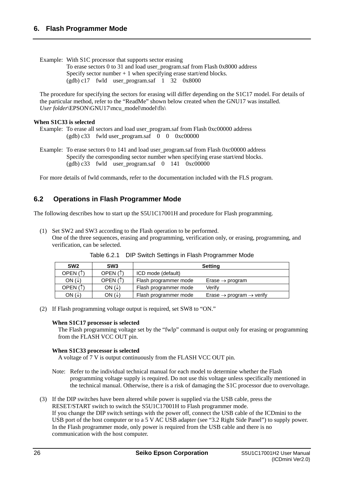### **6. Flash Programmer Mode**

Example: With S1C processor that supports sector erasing

To erase sectors 0 to 31 and load user\_program.saf from Flash 0x8000 address Specify sector number  $+1$  when specifying erase start/end blocks.  $(gdb) c17$  fwld user program.saf 1 32 0x8000

The procedure for specifying the sectors for erasing will differ depending on the S1C17 model. For details of the particular method, refer to the "ReadMe" shown below created when the GNU17 was installed. *User folder*\EPSON\GNU17\mcu\_model\model\fls\

### **When S1C33 is selected**

```
Example: To erase all sectors and load user_program.saf from Flash 0xc00000 address 
(gdb) c33 fwld user_program.saf \overrightarrow{0} 0 0xc00000
```
Example: To erase sectors 0 to 141 and load user\_program.saf from Flash 0xc00000 address Specify the corresponding sector number when specifying erase start/end blocks.  $(gdb) c33$  fwld user program.saf 0 141 0xc00000

For more details of fwld commands, refer to the documentation included with the FLS program.

### <span id="page-31-0"></span>**6.2 Operations in Flash Programmer Mode**

The following describes how to start up the S5U1C17001H and procedure for Flash programming.

(1) Set SW2 and SW3 according to the Flash operation to be performed. One of the three sequences, erasing and programming, verification only, or erasing, programming, and verification, can be selected.

| SW <sub>2</sub>         | SW <sub>3</sub>         | <b>Setting</b>        |                                                  |
|-------------------------|-------------------------|-----------------------|--------------------------------------------------|
| OPEN $($ $\uparrow$ $)$ | OPEN $($ $\uparrow$ $)$ | ICD mode (default)    |                                                  |
| ON $(\downarrow)$       | OPEN $($ $\uparrow$ $)$ | Flash programmer mode | Erase $\rightarrow$ program                      |
| OPEN $($ $\uparrow$ $)$ | ON $(\downarrow)$       | Flash programmer mode | Verifv                                           |
| ON $(\downarrow)$       | ON $(\downarrow)$       | Flash programmer mode | Erase $\rightarrow$ program $\rightarrow$ verify |

Table 6.2.1 DIP Switch Settings in Flash Programmer Mode

(2) If Flash programming voltage output is required, set SW8 to "ON."

### **When S1C17 processor is selected**

The Flash programming voltage set by the "fwlp" command is output only for erasing or programming from the FLASH VCC OUT pin.

### **When S1C33 processor is selected**

A voltage of 7 V is output continuously from the FLASH VCC OUT pin.

- Note: Refer to the individual technical manual for each model to determine whether the Flash programming voltage supply is required. Do not use this voltage unless specifically mentioned in the technical manual. Otherwise, there is a risk of damaging the S1C processor due to overvoltage.
- (3) If the DIP switches have been altered while power is supplied via the USB cable, press the RESET/START switch to switch the S5U1C17001H to Flash programmer mode. If you change the DIP switch settings with the power off, connect the USB cable of the ICDmini to the USB port of the host computer or to a 5 V AC USB adapter (see "3.2 Right Side Panel") to supply power. In the Flash programmer mode, only power is required from the USB cable and there is no communication with the host computer.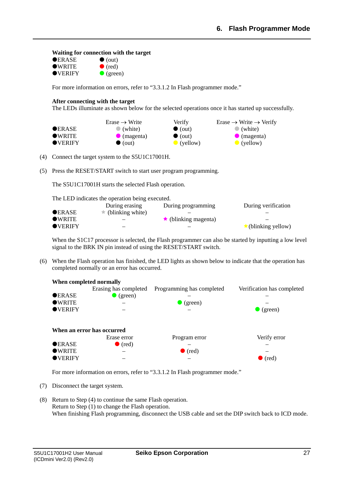#### **Waiting for connection with the target**

| $\bullet$ ERASE | $\bullet$ (out)   |
|-----------------|-------------------|
| $\bullet$ WRITE | $\bullet$ (red)   |
| <b>OVERIFY</b>  | $\bullet$ (green) |

For more information on errors, refer to "3.3.1.2 In Flash programmer mode."

#### **After connecting with the target**

The LEDs illuminate as shown below for the selected operations once it has started up successfully.

|                  | $Erase \rightarrow Write$ | Verify             | Erase $\rightarrow$ Write $\rightarrow$ Verify |
|------------------|---------------------------|--------------------|------------------------------------------------|
| <b>OERASE</b>    | $\bullet$ (white)         | $\bullet$ (out)    | $\bullet$ (white)                              |
| $\bullet$ WRITE  | $\bullet$ (magenta)       | $\bullet$ (out)    | $\bullet$ (magenta)                            |
| $\bullet$ VERIFY | $\bullet$ (out)           | $\bullet$ (yellow) | $\bullet$ (yellow)                             |

(4) Connect the target system to the S5U1C17001H.

(5) Press the RESET/START switch to start user program programming.

The S5U1C17001H starts the selected Flash operation.

The LED indicates the operation being executed.

|                  | During erasing           | During programming         | During verification       |
|------------------|--------------------------|----------------------------|---------------------------|
| <b>OERASE</b>    | $\star$ (blinking white) |                            |                           |
| $\bullet$ WRITE  |                          | $\star$ (blinking magenta) |                           |
| $\bullet$ VERIFY |                          |                            | $\star$ (blinking yellow) |

When the S1C17 processor is selected, the Flash programmer can also be started by inputting a low level signal to the BRK IN pin instead of using the RESET/START switch.

(6) When the Flash operation has finished, the LED lights as shown below to indicate that the operation has completed normally or an error has occurred.



For more information on errors, refer to "3.3.1.2 In Flash programmer mode."

- (7) Disconnect the target system.
- (8) Return to Step (4) to continue the same Flash operation. Return to Step (1) to change the Flash operation. When finishing Flash programming, disconnect the USB cable and set the DIP switch back to ICD mode.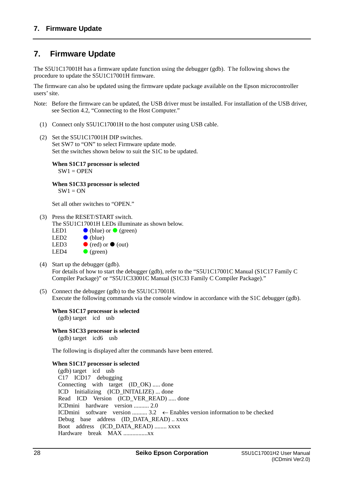### <span id="page-33-0"></span>**7. Firmware Update**

The S5U1C17001H has a firmware update function using the debugger (gdb). The following shows the procedure to update the S5U1C17001H firmware.

The firmware can also be updated using the firmware update package available on the Epson microcontroller users' site.

- Note: Before the firmware can be updated, the USB driver must be installed. For installation of the USB driver, see Section 4.2, "Connecting to the Host Computer."
	- (1) Connect only S5U1C17001H to the host computer using USB cable.
	- (2) Set the S5U1C17001H DIP switches. Set SW7 to "ON" to select Firmware update mode. Set the switches shown below to suit the S1C to be updated.

**When S1C17 processor is selected**   $SW1 =$  OPEN

**When S1C33 processor is selected**   $SW1 = ON$ 

Set all other switches to "OPEN."

(3) Press the RESET/START switch.

The S5U1C17001H LEDs illuminate as shown below.

| LED1  | $\bullet$ (blue) or $\bullet$ (green) |
|-------|---------------------------------------|
| LED2. | $\bullet$ (blue)                      |
| LED3  | $\bullet$ (red) or $\bullet$ (out)    |
| LED4  | $\bullet$ (green)                     |

- (4) Start up the debugger (gdb). For details of how to start the debugger (gdb), refer to the "S5U1C17001C Manual (S1C17 Family C Compiler Package)" or "S5U1C33001C Manual (S1C33 Family C Compiler Package)."
- (5) Connect the debugger (gdb) to the S5U1C17001H. Execute the following commands via the console window in accordance with the S1C debugger (gdb).

#### **When S1C17 processor is selected**  (gdb) target icd usb

**When S1C33 processor is selected**  (gdb) target icd6 usb

The following is displayed after the commands have been entered.

### **When S1C17 processor is selected**

(gdb) target icd usb C17 ICD17 debugging Connecting with target (ID OK) ..... done ICD Initializing (ICD\_INITALIZE) ... done Read ICD Version (ICD VER READ) ..... done ICDmini hardware version .......... 2.0 ICDmini software version ..........  $3.2 \leftarrow$  Enables version information to be checked Debug base address (ID\_DATA\_READ) .. xxxx Boot address (ICD\_DATA\_READ) ........ xxxx Hardware break MAX ................xx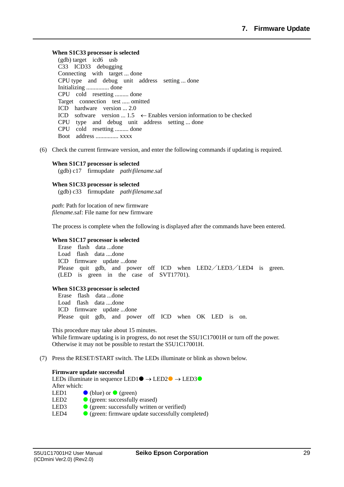#### **When S1C33 processor is selected**

(gdb) target icd6 usb C33 ICD33 debugging Connecting with target ... done CPU type and debug unit address setting ... done Initializing ............... done CPU cold resetting ......... done Target connection test ..... omitted ICD hardware version ... 2.0 ICD software version ...  $1.5 \leftarrow$  Enables version information to be checked CPU type and debug unit address setting ... done CPU cold resetting ......... done Boot address ............... xxxx

(6) Check the current firmware version, and enter the following commands if updating is required.

#### **When S1C17 processor is selected**  (gdb) c17 firmupdate *path\filename*.saf

#### **When S1C33 processor is selected**  (gdb) c33 firmupdate *path\filename*.saf

*path*: Path for location of new firmware *filename*.saf: File name for new firmware

The process is complete when the following is displayed after the commands have been entered.

#### **When S1C17 processor is selected**

Erase flash data ...done Load flash data ....done ICD firmware update ...done Please quit gdb, and power off ICD when LED2/LED3/LED4 is green. (LED is green in the case of SVT17701).

### **When S1C33 processor is selected**

Erase flash data ...done Load flash data ....done ICD firmware update ...done Please quit gdb, and power off ICD when OK LED is on.

This procedure may take about 15 minutes. While firmware updating is in progress, do not reset the S5U1C17001H or turn off the power. Otherwise it may not be possible to restart the S5U1C17001H.

### (7) Press the RESET/START switch. The LEDs illuminate or blink as shown below.

#### **Firmware update successful**

LEDs illuminate in sequence LED1 $\bullet \rightarrow$  LED2 $\bullet \rightarrow$  LED3 $\bullet$ After which: LED1  $\bullet$  (blue) or  $\bullet$  (green) LED2  $\bigcirc$  (green: successfully erased) LED3  $\bullet$  (green: successfully written or verified) LED4 **C** (green: firmware update successfully completed)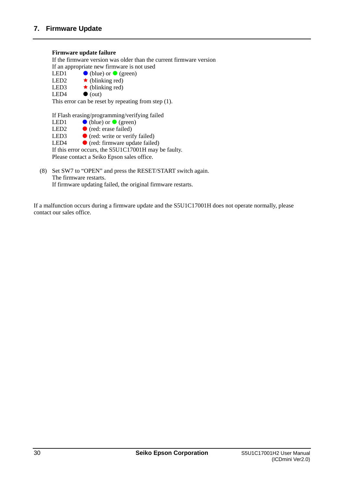### **Firmware update failure**

If the firmware version was older than the current firmware version If an appropriate new firmware is not used<br>LED1  $\bigcirc$  (blue) or  $\bigcirc$  (green) LED1 (blue) or  $\bullet$  (green)<br>LED2 (blinking red) LED2  $\star$  (blinking red)<br>LED3  $\star$  (blinking red)  $\star$  (blinking red) LED4  $\bullet$  (out)

This error can be reset by repeating from step (1).

If Flash erasing/programming/verifying failed

- LED1  $\bullet$  (blue) or  $\bullet$  (green)
- LED2  $\bullet$  (red: erase failed)<br>LED3  $\bullet$  (red: write or verif
- LED3  $\bullet$  (red: write or verify failed)<br>LED4  $\bullet$  (red: firmware update failed)

 $\bullet$  (red: firmware update failed)

If this error occurs, the S5U1C17001H may be faulty.

Please contact a Seiko Epson sales office.

(8) Set SW7 to "OPEN" and press the RESET/START switch again. The firmware restarts. If firmware updating failed, the original firmware restarts.

If a malfunction occurs during a firmware update and the S5U1C17001H does not operate normally, please contact our sales office.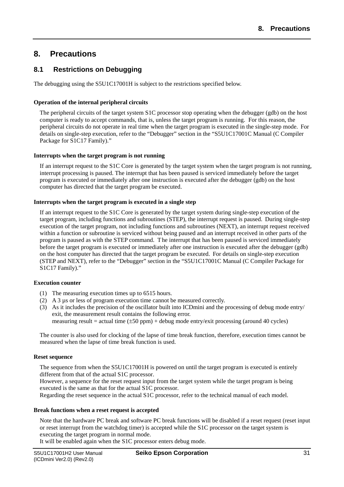### <span id="page-36-0"></span>**8. Precautions**

### <span id="page-36-1"></span>**8.1 Restrictions on Debugging**

The debugging using the S5U1C17001H is subject to the restrictions specified below.

### **Operation of the internal peripheral circuits**

The peripheral circuits of the target system S1C processor stop operating when the debugger (gdb) on the host computer is ready to accept commands, that is, unless the target program is running. For this reason, the peripheral circuits do not operate in real time when the target program is executed in the single-step mode. For details on single-step execution, refer to the "Debugger" section in the "S5U1C17001C Manual (C Compiler Package for S1C17 Family)."

### **Interrupts when the target program is not running**

If an interrupt request to the S1C Core is generated by the target system when the target program is not running, interrupt processing is paused. The interrupt that has been paused is serviced immediately before the target program is executed or immediately after one instruction is executed after the debugger (gdb) on the host computer has directed that the target program be executed.

### **Interrupts when the target program is executed in a single step**

If an interrupt request to the S1C Core is generated by the target system during single-step execution of the target program, including functions and subroutines (STEP), the interrupt request is paused. During single-step execution of the target program, not including functions and subroutines (NEXT), an interrupt request received within a function or subroutine is serviced without being paused and an interrupt received in other parts of the program is paused as with the STEP command. T he interrupt that has been paused is serviced immediately before the target program is executed or immediately after one instruction is executed after the debugger (gdb) on the host computer has directed that the target program be executed. For details on single-step execution (STEP and NEXT), refer to the "Debugger" section in the "S5U1C17001C Manual (C Compiler Package for S1C17 Family)."

### **Execution counter**

- (1) The measuring execution times up to 6515 hours.
- (2) A 3 µs or less of program execution time cannot be measured correctly.
- (3) As it includes the precision of the oscillator built into ICDmini and the processing of debug mode entry/ exit, the measurement result contains the following error. measuring result = actual time  $(\pm 50 \text{ ppm})$  + debug mode entry/exit processing (around 40 cycles)

The counter is also used for clocking of the lapse of time break function, therefore, execution times cannot be measured when the lapse of time break function is used.

### **Reset sequence**

The sequence from when the S5U1C17001H is powered on until the target program is executed is entirely different from that of the actual S1C processor.

However, a sequence for the reset request input from the target system while the target program is being executed is the same as that for the actual S1C processor.

Regarding the reset sequence in the actual S1C processor, refer to the technical manual of each model.

### **Break functions when a reset request is accepted**

Note that the hardware PC break and software PC break functions will be disabled if a reset request (reset input or reset interrupt from the watchdog timer) is accepted while the S1C processor on the target system is executing the target program in normal mode.

It will be enabled again when the S1C processor enters debug mode.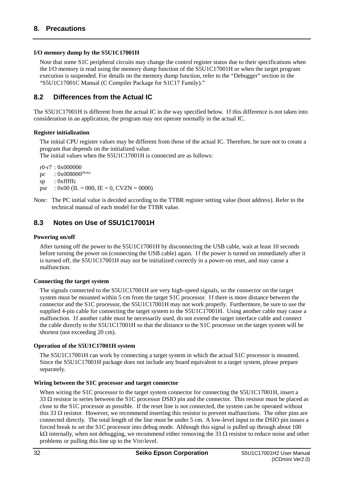### **I/O memory dump by the S5U1C17001H**

Note that some S1C peripheral circuits may change the control register status due to their specifications when the I/O memory is read using the memory dump function of the S5U1C17001H or when the target program execution is suspended. For details on the memory dump function, refer to the "Debugger" section in the "S5U1C17001C Manual (C Compiler Package for S1C17 Family)."

### <span id="page-37-0"></span>**8.2 Differences from the Actual IC**

The S5U1C17001H is different from the actual IC in the way specified below. If this difference is not taken into consideration in an application, the program may not operate normally in the actual IC.

### **Register initialization**

The initial CPU register values may be different from those of the actual IC. Therefore, be sure not to create a program that depends on the initialized value.

The initial values when the S5U1C17001H is connected are as follows:

r0-r7 : 0x000000

- pc :  $0x008000^{(Note)}$
- sp : 0xfffffc
- psr :  $0x00$  (IL = 000, IE = 0, CVZN = 0000)
- Note: The PC initial value is decided according to the TTBR register setting value (boot address). Refer to the technical manual of each model for the TTBR value.

### <span id="page-37-1"></span>**8.3 Notes on Use of S5U1C17001H**

### **Powering on/off**

After turning off the power to the S5U1C17001H by disconnecting the USB cable, wait at least 10 seconds before turning the power on (connecting the USB cable) again. I f the power is turned on immediately after it is turned off, the S5U1C17001H may not be initialized correctly in a power-on reset, and may cause a malfunction.

### **Connecting the target system**

The signals connected to the S5U1C17001H are very high-speed signals, so the connector on the target system must be mounted within 5 cm from the target S1C processor. I f there is more distance between the connector and the S1C processor, the S5U1C17001H may not work properly. Furthermore, be sure to use the supplied 4-pin cable for connecting the target system to the S5U1C17001H. Using another cable may cause a malfunction. If another cable must be necessarily used, do not extend the target interface cable and connect the cable directly to the S5U1C17001H so that the distance to the S1C processor on the target system will be shortest (not exceeding 20 cm).

### **Operation of the S5U1C17001H system**

The S5U1C17001H can work by connecting a target system in which the actual S1C processor is mounted. Since the S5U1C17001H package does not include any board equivalent to a target system, please prepare separately.

### **Wiring between the S1C processor and target connector**

When wiring the S1C processor to the target system connector for connecting the S5U1C17001H, insert a 33  $\Omega$  resistor in series between the S1C processor DSIO pin and the connector. This resistor must be placed as close to the S1C processor as possible. If the reset line is not connected, the system can be operated without this 33  $\Omega$  resistor. However, we recommend inserting this resistor to prevent malfunctions. The other pins are connected directly. The total length of the line must be under 5 cm. A low-level input to the DSIO pin issues a forced break to set the S1C processor into debug mode. Although this signal is pulled up through about 100 k $\Omega$  internally, when not debugging, we recommend either removing the 33  $\Omega$  resistor to reduce noise and other problems or pulling this line up to the VDD level.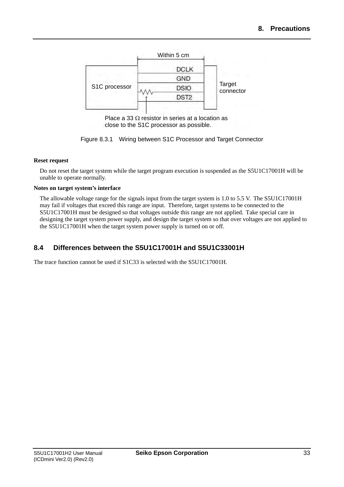

Place a 33  $\Omega$  resistor in series at a location as close to the S1C processor as possible.



### **Reset request**

Do not reset the target system while the target program execution is suspended as the S5U1C17001H will be unable to operate normally.

### **Notes on target system's interface**

The allowable voltage range for the signals input from the target system is 1.0 to 5.5 V. The S5U1C17001H may fail if voltages that exceed this range are input. Therefore, target systems to be connected to the S5U1C17001H must be designed so that voltages outside this range are not applied. Take special care in designing the target system power supply, and design the target system so that over voltages are not applied to the S5U1C17001H when the target system power supply is turned on or off.

### <span id="page-38-0"></span>**8.4 Differences between the S5U1C17001H and S5U1C33001H**

The trace function cannot be used if S1C33 is selected with the S5U1C17001H.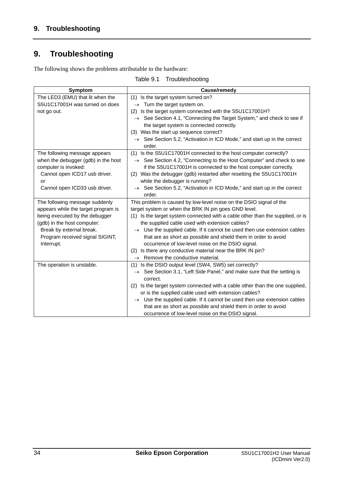## <span id="page-39-0"></span>**9. Troubleshooting**

The following shows the problems attributable to the hardware:

Table 9.1 Troubleshooting

| <b>Symptom</b>                                                | Cause/remedy                                                                                                                     |
|---------------------------------------------------------------|----------------------------------------------------------------------------------------------------------------------------------|
| The LED3 (EMU) that lit when the                              | (1) Is the target system turned on?                                                                                              |
| S5U1C17001H was turned on does                                | $\rightarrow$ Turn the target system on.                                                                                         |
| not go out.                                                   | (2) Is the target system connected with the S5U1C17001H?                                                                         |
|                                                               | $\rightarrow$ See Section 4.1, "Connecting the Target System," and check to see if                                               |
|                                                               | the target system is connected correctly.                                                                                        |
|                                                               | (3) Was the start up sequence correct?                                                                                           |
|                                                               | $\rightarrow$ See Section 5.2, "Activation in ICD Mode," and start up in the correct<br>order.                                   |
| The following message appears                                 | (1) Is the S5U1C17001H connected to the host computer correctly?                                                                 |
| when the debugger (gdb) in the host                           | $\rightarrow$ See Section 4.2, "Connecting to the Host Computer" and check to see                                                |
| computer is invoked:                                          | if the S5U1C17001H is connected to the host computer correctly.                                                                  |
| Cannot open ICD17 usb driver.                                 | (2) Was the debugger (gdb) restarted after resetting the S5U1C17001H                                                             |
| or                                                            | while the debugger is running?                                                                                                   |
| Cannot open ICD33 usb driver.                                 | $\rightarrow$ See Section 5.2, "Activation in ICD Mode," and start up in the correct<br>order.                                   |
| The following message suddenly                                | This problem is caused by low-level noise on the DSIO signal of the                                                              |
| appears while the target program is                           | target system or when the BRK IN pin goes GND level.                                                                             |
| being executed by the debugger<br>(gdb) in the host computer: | (1) Is the target system connected with a cable other than the supplied, or is<br>the supplied cable used with extension cables? |
| Break by external break.                                      | $\rightarrow$ Use the supplied cable. If it cannot be used then use extension cables                                             |
| Program received signal SIGINT,                               | that are as short as possible and shield them in order to avoid                                                                  |
| Interrupt.                                                    | occurrence of low-level noise on the DSIO signal.                                                                                |
|                                                               | Is there any conductive material near the BRK IN pin?<br>(2)                                                                     |
|                                                               | $\rightarrow$ Remove the conductive material.                                                                                    |
| The operation is unstable.                                    | (1) Is the DSIO output level (SW4, SW5) set correctly?                                                                           |
|                                                               | $\rightarrow$ See Section 3.1, "Left Side Panel," and make sure that the setting is                                              |
|                                                               | correct.                                                                                                                         |
|                                                               | (2) Is the target system connected with a cable other than the one supplied,                                                     |
|                                                               | or is the supplied cable used with extension cables?                                                                             |
|                                                               | $\rightarrow$ Use the supplied cable. If it cannot be used then use extension cables                                             |
|                                                               | that are as short as possible and shield them in order to avoid                                                                  |
|                                                               | occurrence of low-level noise on the DSIO signal.                                                                                |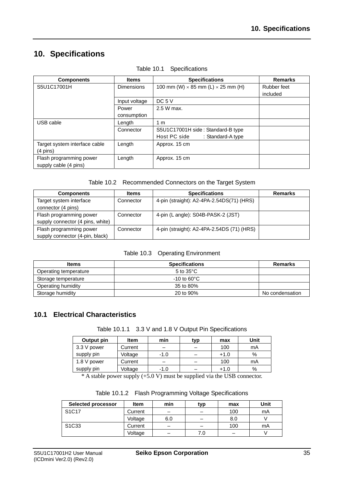## <span id="page-40-0"></span>**10. Specifications**

| <b>Components</b>             | <b>Items</b>      | <b>Specifications</b>                            | <b>Remarks</b> |
|-------------------------------|-------------------|--------------------------------------------------|----------------|
| S5U1C17001H                   | <b>Dimensions</b> | 100 mm (W) $\times$ 85 mm (L) $\times$ 25 mm (H) | Rubber feet    |
|                               |                   |                                                  | included       |
|                               | Input voltage     | DC 5 V                                           |                |
|                               | Power             | 2.5 W max.                                       |                |
|                               | consumption       |                                                  |                |
| USB cable                     | Length            | 1 m                                              |                |
|                               | Connector         | S5U1C17001H side: Standard-B type                |                |
|                               |                   | Host PC side<br>: Standard-A type                |                |
| Target system interface cable | Length            | Approx. 15 cm                                    |                |
| $(4 \text{ pins})$            |                   |                                                  |                |
| Flash programming power       | Length            | Approx. 15 cm                                    |                |
| supply cable (4 pins)         |                   |                                                  |                |

Table 10.1 Specifications

| Table 10.2 Recommended Connectors on the Target System |  |  |
|--------------------------------------------------------|--|--|
|                                                        |  |  |

| <b>Components</b>                                           | Items     | <b>Specifications</b>                      | <b>Remarks</b> |
|-------------------------------------------------------------|-----------|--------------------------------------------|----------------|
| Target system interface<br>connector (4 pins)               | Connector | 4-pin (straight): A2-4PA-2.54DS(71) (HRS)  |                |
| Flash programming power<br>supply connector (4 pins, white) | Connector | 4-pin (L angle): S04B-PASK-2 (JST)         |                |
| Flash programming power<br>supply connector (4-pin, black)  | Connector | 4-pin (straight): A2-4PA-2.54DS (71) (HRS) |                |

|  |  | Table 10.3 Operating Environment |
|--|--|----------------------------------|
|--|--|----------------------------------|

| <b>Items</b>          | <b>Specifications</b> | <b>Remarks</b>  |
|-----------------------|-----------------------|-----------------|
| Operating temperature | 5 to $35^{\circ}$ C   |                 |
| Storage temperature   | $-10$ to 60°C.        |                 |
| Operating humidity    | 35 to 80%             |                 |
| Storage humidity      | 20 to 90%             | No condensation |

### <span id="page-40-1"></span>**10.1 Electrical Characteristics**

|  | Table 10.1.1 3.3 V and 1.8 V Output Pin Specifications |
|--|--------------------------------------------------------|
|--|--------------------------------------------------------|

| Output pin  | <b>Item</b> | min    | typ | max    | Unit |
|-------------|-------------|--------|-----|--------|------|
| 3.3 V power | Current     | -      |     | 100    | mA   |
| supply pin  | Voltage     | $-1.0$ |     | $+1.0$ | %    |
| 1.8 V power | Current     | -      |     | 100    | mA   |
| supply pin  | Voltage     | $-1.0$ |     | $+1.0$ | %    |

\* A stable power supply (+5.0 V) must be supplied via the USB connector.

|  | Table 10.1.2 Flash Programming Voltage Specifications |  |  |
|--|-------------------------------------------------------|--|--|
|--|-------------------------------------------------------|--|--|

| <b>Selected processor</b>      | Item    | min | typ | max | Unit |
|--------------------------------|---------|-----|-----|-----|------|
| S <sub>1</sub> C <sub>17</sub> | Current |     |     | 100 | mA   |
|                                | Voltage | 6.0 |     | 8.0 |      |
| S <sub>1</sub> C <sub>33</sub> | Current | -   |     | 100 | mA   |
|                                | Voltage |     | 7.0 |     |      |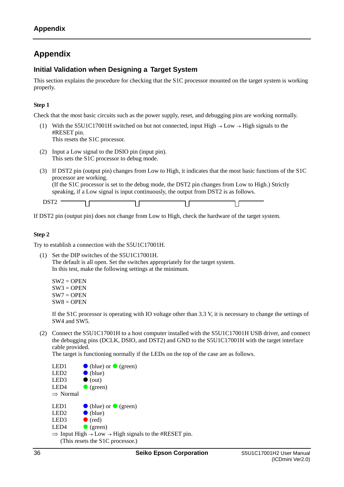### <span id="page-41-0"></span>**Appendix**

### <span id="page-41-1"></span>**Initial Validation when Designing a Target System**

This section explains the procedure for checking that the S1C processor mounted on the target system is working properly.

### **Step 1**

Check that the most basic circuits such as the power supply, reset, and debugging pins are working normally.

(1) With the S5U1C17001H switched on but not connected, input High  $\rightarrow$  Low  $\rightarrow$  High signals to the #RESET pin. This resets the S1C processor.

- (2) Input a Low signal to the DSIO pin (input pin). This sets the S1C processor to debug mode.
- (3) If DST2 pin (output pin) changes from Low to High, it indicates that the most basic functions of the S1C processor are working. (If the S1C processor is set to the debug mode, the DST2 pin changes from Low to High.) Strictly speaking, if a Low signal is input continuously, the output from DST2 is as follows.

 $DST2$  – ח ר ח ר ח ר

If DST2 pin (output pin) does not change from Low to High, check the hardware of the target system.

### **Step 2**

Try to establish a connection with the S5U1C17001H.

(1) Set the DIP switches of the S5U1C17001H. The default is all open. Set the switches appropriately for the target system. In this test, make the following settings at the minimum.

 $SW2 = OPER$  $SW3 = OPEN$  $SW7 = OPER$  $SW8 = OPER$ 

If the S1C processor is operating with IO voltage other than 3.3 V, it is necessary to change the settings of SW4 and SW5.

(2) Connect the S5U1C17001H to a host computer installed with the S5U1C17001H USB driver, and connect the debugging pins (DCLK, DSIO, and DST2) and GND to the S5U1C17001H with the target interface cable provided.

The target is functioning normally if the LEDs on the top of the case are as follows.

LED1  $\bullet$  (blue) or  $\bullet$  (green) LED2  $\bullet$  (blue) LED3  $\bullet$  (out) LED4  $\bullet$  (green)  $\Rightarrow$  Normal LED1  $\bullet$  (blue) or  $\bullet$  (green) LED2  $\bullet$  (blue) LED3  $\bullet$  (red) LED4  $\qquad \qquad \bullet$  (green)  $\Rightarrow$  Input High  $\rightarrow$  Low  $\rightarrow$  High signals to the #RESET pin. (This resets the S1C processor.)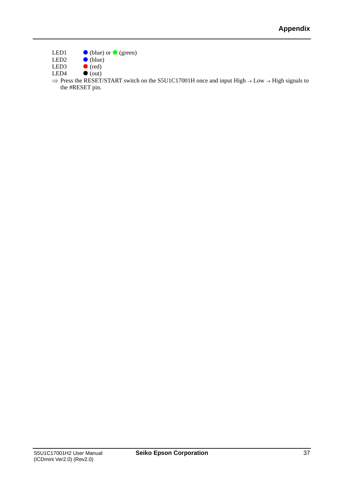- LED1 **(blue)** or  $\bigcirc$  (green)<br>LED2  $\bigcirc$  (blue)
- LED2 (blue)
- LED3  $\bullet$  (red)<br>LED4  $\bullet$  (out)
- $\bullet$  (out)
- $\Rightarrow$  Press the RESET/START switch on the S5U1C17001H once and input High  $\rightarrow$  Low  $\rightarrow$  High signals to the #RESET pin.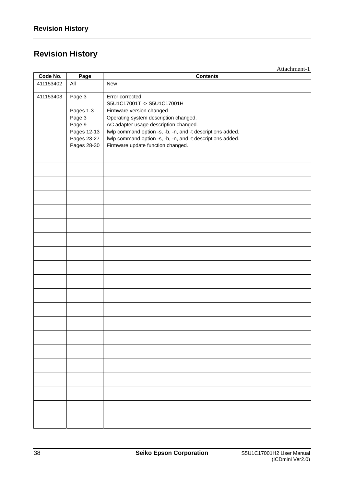# <span id="page-43-0"></span>**Revision History**

Attachment-1

| Code No.  | Page        | <b>Contents</b>                                            |  |  |
|-----------|-------------|------------------------------------------------------------|--|--|
| 411153402 | $A$ ll      | New                                                        |  |  |
| 411153403 | Page 3      | Error corrected.<br>S5U1C17001T->S5U1C17001H               |  |  |
|           | Pages 1-3   | Firmware version changed.                                  |  |  |
|           | Page 3      | Operating system description changed.                      |  |  |
|           | Page 9      | AC adapter usage description changed.                      |  |  |
|           | Pages 12-13 | fwlp command option -s, -b, -n, and -t descriptions added. |  |  |
|           | Pages 23-27 | fwlp command option -s, -b, -n, and -t descriptions added. |  |  |
|           | Pages 28-30 | Firmware update function changed.                          |  |  |
|           |             |                                                            |  |  |
|           |             |                                                            |  |  |
|           |             |                                                            |  |  |
|           |             |                                                            |  |  |
|           |             |                                                            |  |  |
|           |             |                                                            |  |  |
|           |             |                                                            |  |  |
|           |             |                                                            |  |  |
|           |             |                                                            |  |  |
|           |             |                                                            |  |  |
|           |             |                                                            |  |  |
|           |             |                                                            |  |  |
|           |             |                                                            |  |  |
|           |             |                                                            |  |  |
|           |             |                                                            |  |  |
|           |             |                                                            |  |  |
|           |             |                                                            |  |  |
|           |             |                                                            |  |  |
|           |             |                                                            |  |  |
|           |             |                                                            |  |  |
|           |             |                                                            |  |  |
|           |             |                                                            |  |  |
|           |             |                                                            |  |  |
|           |             |                                                            |  |  |